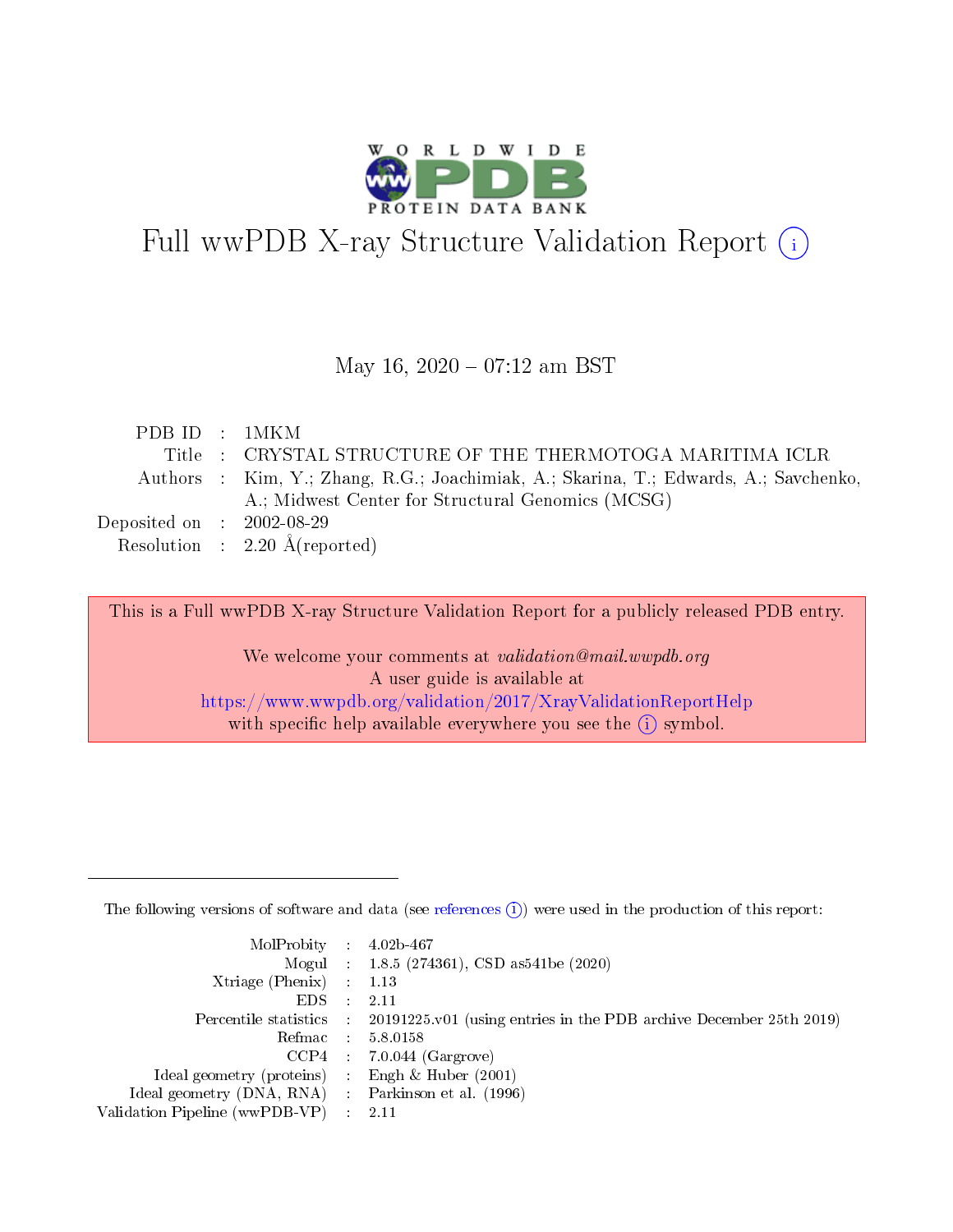

# Full wwPDB X-ray Structure Validation Report (i)

#### May 16,  $2020 - 07:12$  am BST

| PDBID : 1MKM                        |                                                                                      |
|-------------------------------------|--------------------------------------------------------------------------------------|
|                                     | Title : CRYSTAL STRUCTURE OF THE THERMOTOGA MARITIMA ICLR                            |
|                                     | Authors : Kim, Y.; Zhang, R.G.; Joachimiak, A.; Skarina, T.; Edwards, A.; Savchenko, |
|                                     | A.; Midwest Center for Structural Genomics (MCSG)                                    |
| Deposited on $\,$ : 2002-08-29 $\,$ |                                                                                      |
|                                     | Resolution : $2.20 \text{ Å}$ (reported)                                             |
|                                     |                                                                                      |

This is a Full wwPDB X-ray Structure Validation Report for a publicly released PDB entry.

We welcome your comments at validation@mail.wwpdb.org A user guide is available at <https://www.wwpdb.org/validation/2017/XrayValidationReportHelp> with specific help available everywhere you see the  $(i)$  symbol.

The following versions of software and data (see [references](https://www.wwpdb.org/validation/2017/XrayValidationReportHelp#references)  $(1)$ ) were used in the production of this report:

| $MolProbability$ : 4.02b-467                      |                              |                                                                                            |
|---------------------------------------------------|------------------------------|--------------------------------------------------------------------------------------------|
|                                                   |                              | Mogul : $1.8.5$ (274361), CSD as 541be (2020)                                              |
| Xtriage (Phenix) $: 1.13$                         |                              |                                                                                            |
| EDS –                                             | $\sim$                       | -2.11                                                                                      |
|                                                   |                              | Percentile statistics : 20191225.v01 (using entries in the PDB archive December 25th 2019) |
| Refmac : 5.8.0158                                 |                              |                                                                                            |
| CCP4                                              |                              | $7.0.044$ (Gargrove)                                                                       |
| Ideal geometry (proteins)                         | $\mathcal{L}_{\mathrm{eff}}$ | Engh & Huber $(2001)$                                                                      |
| Ideal geometry (DNA, RNA) Parkinson et al. (1996) |                              |                                                                                            |
| Validation Pipeline (wwPDB-VP) : 2.11             |                              |                                                                                            |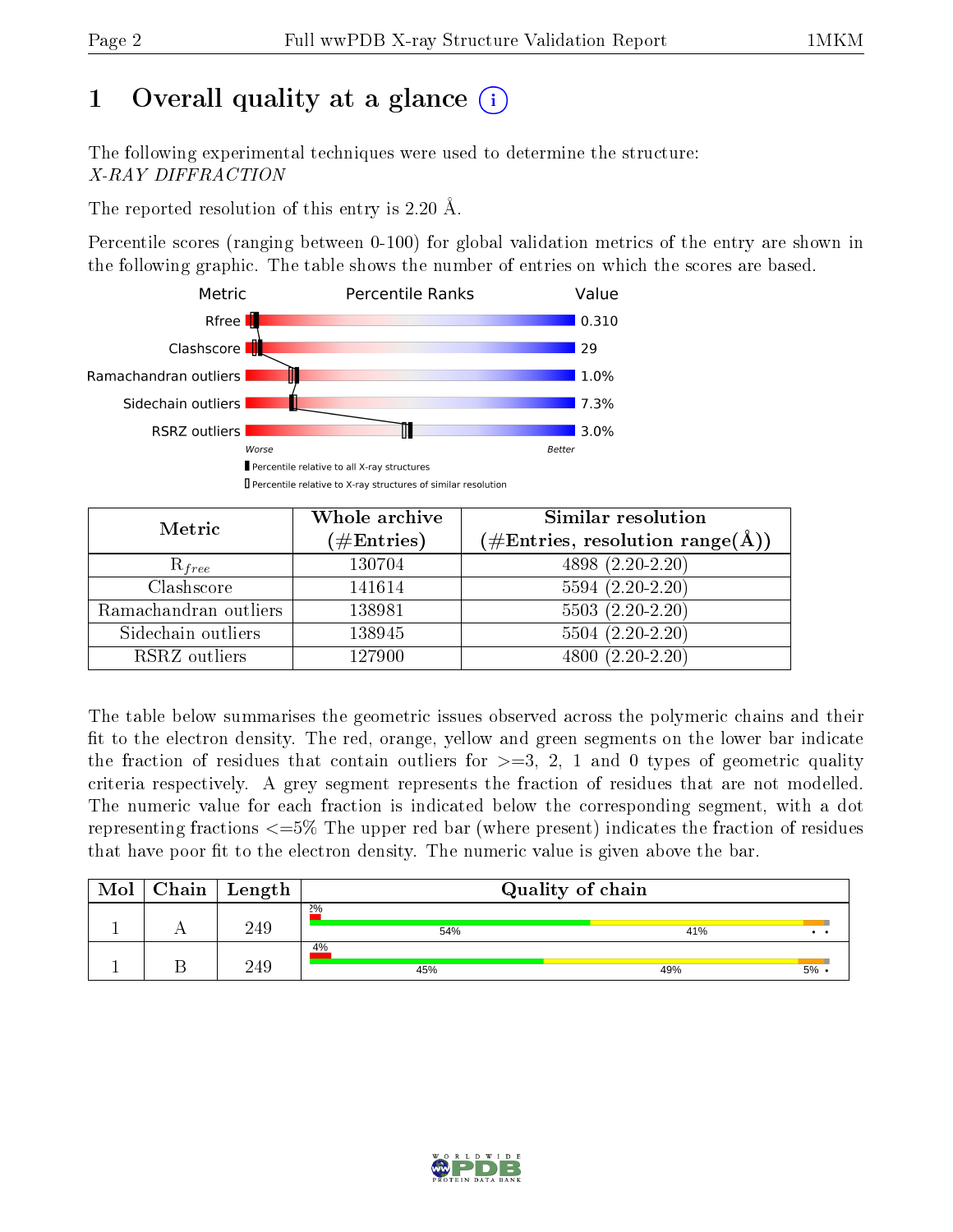## 1 [O](https://www.wwpdb.org/validation/2017/XrayValidationReportHelp#overall_quality)verall quality at a glance  $(i)$

The following experimental techniques were used to determine the structure: X-RAY DIFFRACTION

The reported resolution of this entry is 2.20 Å.

Percentile scores (ranging between 0-100) for global validation metrics of the entry are shown in the following graphic. The table shows the number of entries on which the scores are based.



| Metric                | Whole archive        | Similar resolution                                                     |
|-----------------------|----------------------|------------------------------------------------------------------------|
|                       | $(\#\text{Entries})$ | $(\#\text{Entries},\,\text{resolution}\,\,\text{range}(\textup{\AA}))$ |
| $R_{free}$            | 130704               | $4898(2.20-2.20)$                                                      |
| Clashscore            | 141614               | $5594(2.20-2.20)$                                                      |
| Ramachandran outliers | 138981               | $5503(2.20-2.20)$                                                      |
| Sidechain outliers    | 138945               | $5504(2.20-2.20)$                                                      |
| RSRZ outliers         | 127900               | $4800(2.20-2.20)$                                                      |

The table below summarises the geometric issues observed across the polymeric chains and their fit to the electron density. The red, orange, yellow and green segments on the lower bar indicate the fraction of residues that contain outliers for  $>=3, 2, 1$  and 0 types of geometric quality criteria respectively. A grey segment represents the fraction of residues that are not modelled. The numeric value for each fraction is indicated below the corresponding segment, with a dot representing fractions  $\epsilon=5\%$  The upper red bar (where present) indicates the fraction of residues that have poor fit to the electron density. The numeric value is given above the bar.

| Mol | Chain | $\vert$ Length | Quality of chain |     |                       |  |  |
|-----|-------|----------------|------------------|-----|-----------------------|--|--|
|     |       | 249            | 2%<br>54%        | 41% | $\bullet\quad\bullet$ |  |  |
|     |       | 249            | 4%<br>45%        | 49% | 5%                    |  |  |

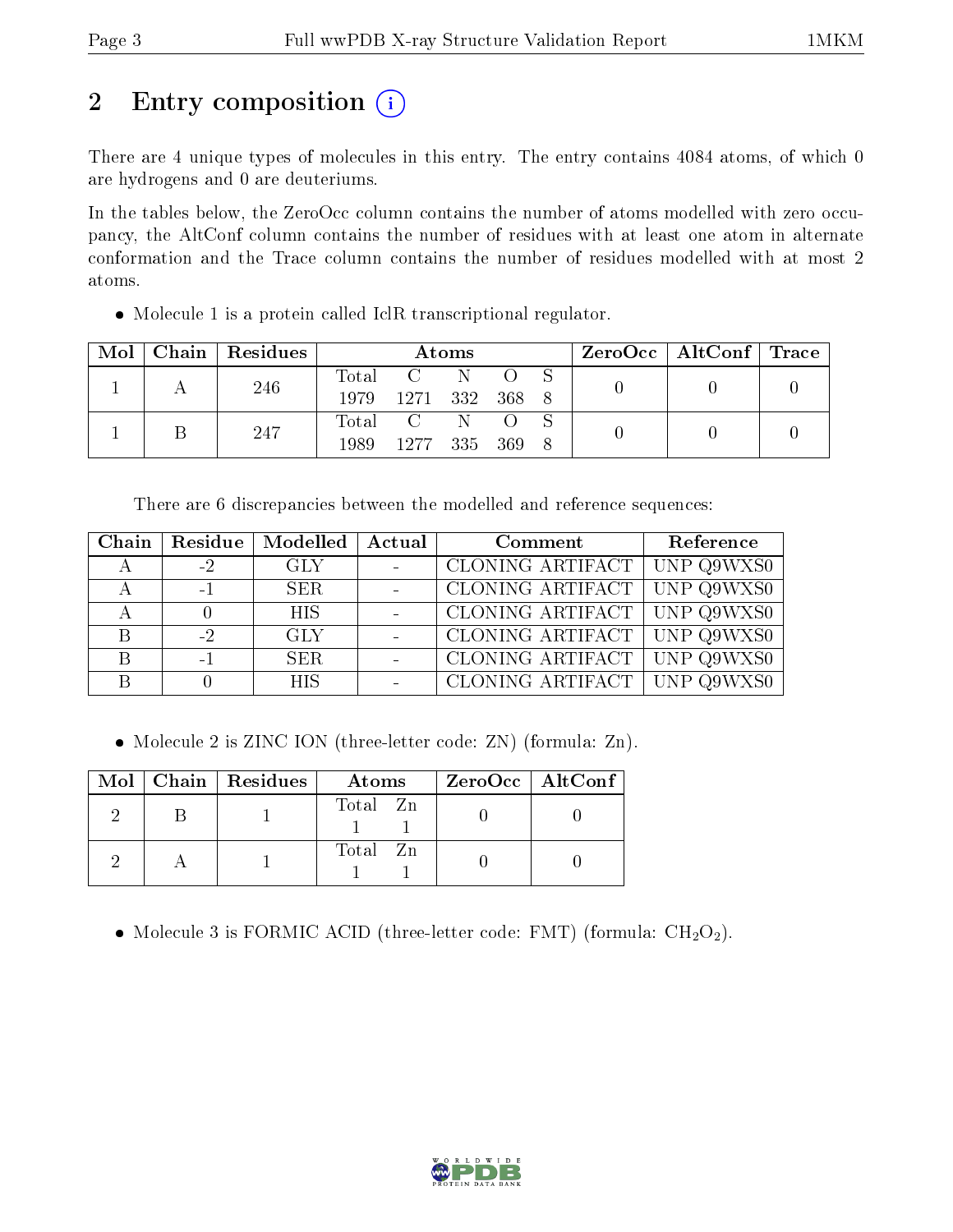## 2 Entry composition (i)

There are 4 unique types of molecules in this entry. The entry contains 4084 atoms, of which 0 are hydrogens and 0 are deuteriums.

In the tables below, the ZeroOcc column contains the number of atoms modelled with zero occupancy, the AltConf column contains the number of residues with at least one atom in alternate conformation and the Trace column contains the number of residues modelled with at most 2 atoms.

Molecule 1 is a protein called IclR transcriptional regulator.

| Mol |  | $\vert$ Chain $\vert$ Residues | Atoms          |           |  |  | $\text{ZeroOcc} \mid \text{AltConf} \mid \text{Trace}$ |  |  |
|-----|--|--------------------------------|----------------|-----------|--|--|--------------------------------------------------------|--|--|
|     |  | 246                            |                | Total C N |  |  |                                                        |  |  |
|     |  | 1979                           | 1271 332 368 8 |           |  |  |                                                        |  |  |
|     |  | 247                            |                | Total C   |  |  |                                                        |  |  |
|     |  | 1989.                          | 1277 335 369 8 |           |  |  |                                                        |  |  |

There are 6 discrepancies between the modelled and reference sequences:

| Chain |      | Residue   Modelled   Actual | Comment                                     | Reference |
|-------|------|-----------------------------|---------------------------------------------|-----------|
|       | $-2$ | GLY -                       | CLONING ARTIFACT UNP Q9WXS0                 |           |
|       | $-1$ | SER                         | $\vert$ CLONING ARTIFACT $\vert$ UNP Q9WXS0 |           |
|       |      | <b>HIS</b>                  | <b>CLONING ARTIFACT UNP Q9WXS0</b>          |           |
| B     | $-2$ | GLY                         | CLONING ARTIFACT UNP Q9WXS0                 |           |
| B     | $-1$ | SER.                        | CLONING ARTIFACT   UNP Q9WXS0               |           |
|       |      | HIS.                        | CLONING ARTIFACT UNP Q9WXS0                 |           |

• Molecule 2 is ZINC ION (three-letter code: ZN) (formula: Zn).

|  | $Mol$   Chain   Residues | Atoms    | $ZeroOcc \   \ AltConf$ |
|--|--------------------------|----------|-------------------------|
|  |                          | Total Zn |                         |
|  |                          | Total Zn |                         |

• Molecule 3 is FORMIC ACID (three-letter code: FMT) (formula:  $CH<sub>2</sub>O<sub>2</sub>$ ).

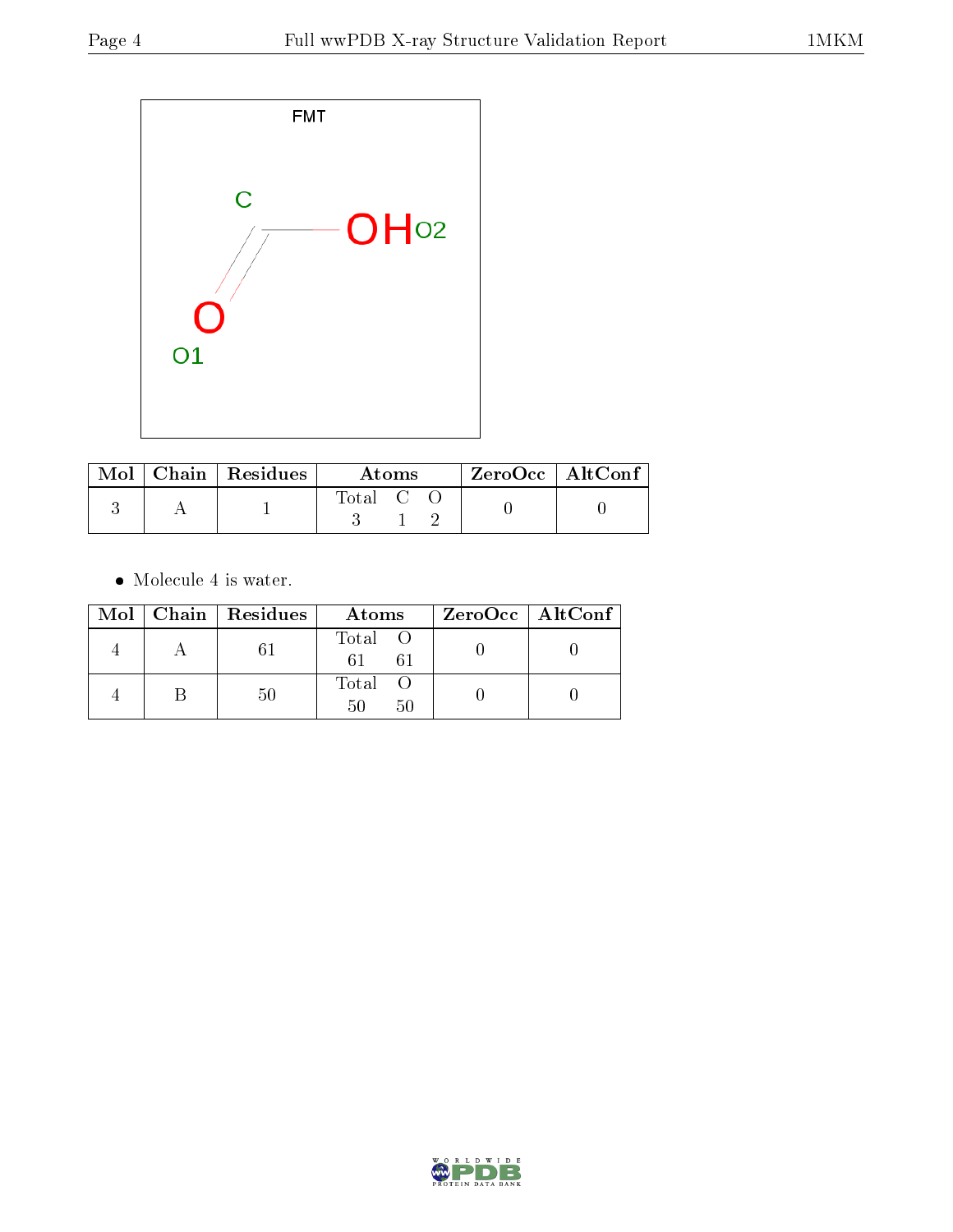

|  | $\text{Mol}$   Chain   Residues | Atoms   |  |  | ZeroOcc   AltConf |  |
|--|---------------------------------|---------|--|--|-------------------|--|
|  |                                 | Total C |  |  |                   |  |

 $\bullet\,$  Molecule 4 is water.

|  | Mol   Chain   Residues | Atoms               | $ZeroOcc \   \$ AltConf |
|--|------------------------|---------------------|-------------------------|
|  |                        | Total O<br>61<br>61 |                         |
|  |                        | Total<br>50<br>50   |                         |

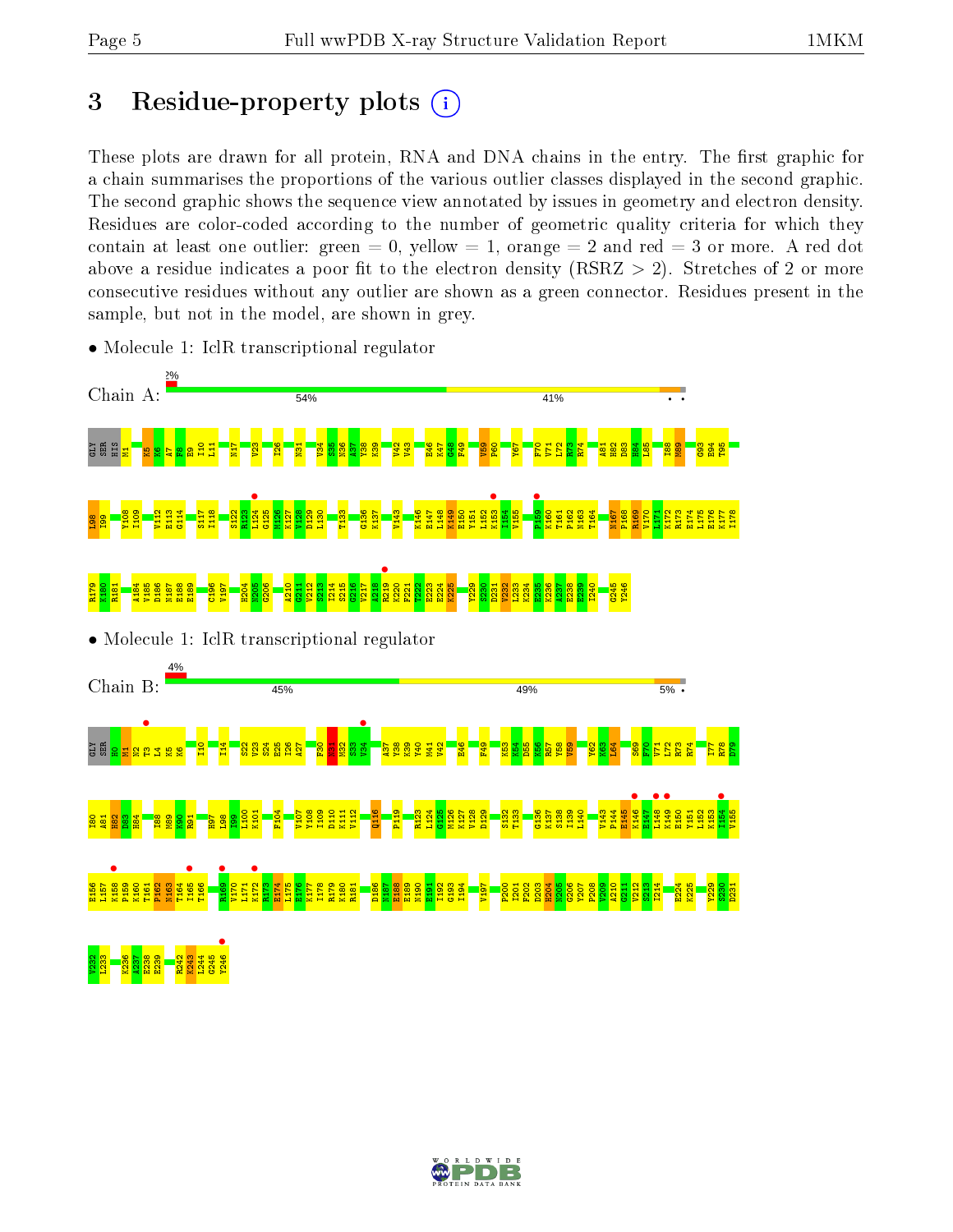## 3 Residue-property plots  $(i)$

These plots are drawn for all protein, RNA and DNA chains in the entry. The first graphic for a chain summarises the proportions of the various outlier classes displayed in the second graphic. The second graphic shows the sequence view annotated by issues in geometry and electron density. Residues are color-coded according to the number of geometric quality criteria for which they contain at least one outlier: green  $= 0$ , yellow  $= 1$ , orange  $= 2$  and red  $= 3$  or more. A red dot above a residue indicates a poor fit to the electron density (RSRZ  $> 2$ ). Stretches of 2 or more consecutive residues without any outlier are shown as a green connector. Residues present in the sample, but not in the model, are shown in grey.



• Molecule 1: IclR transcriptional regulator

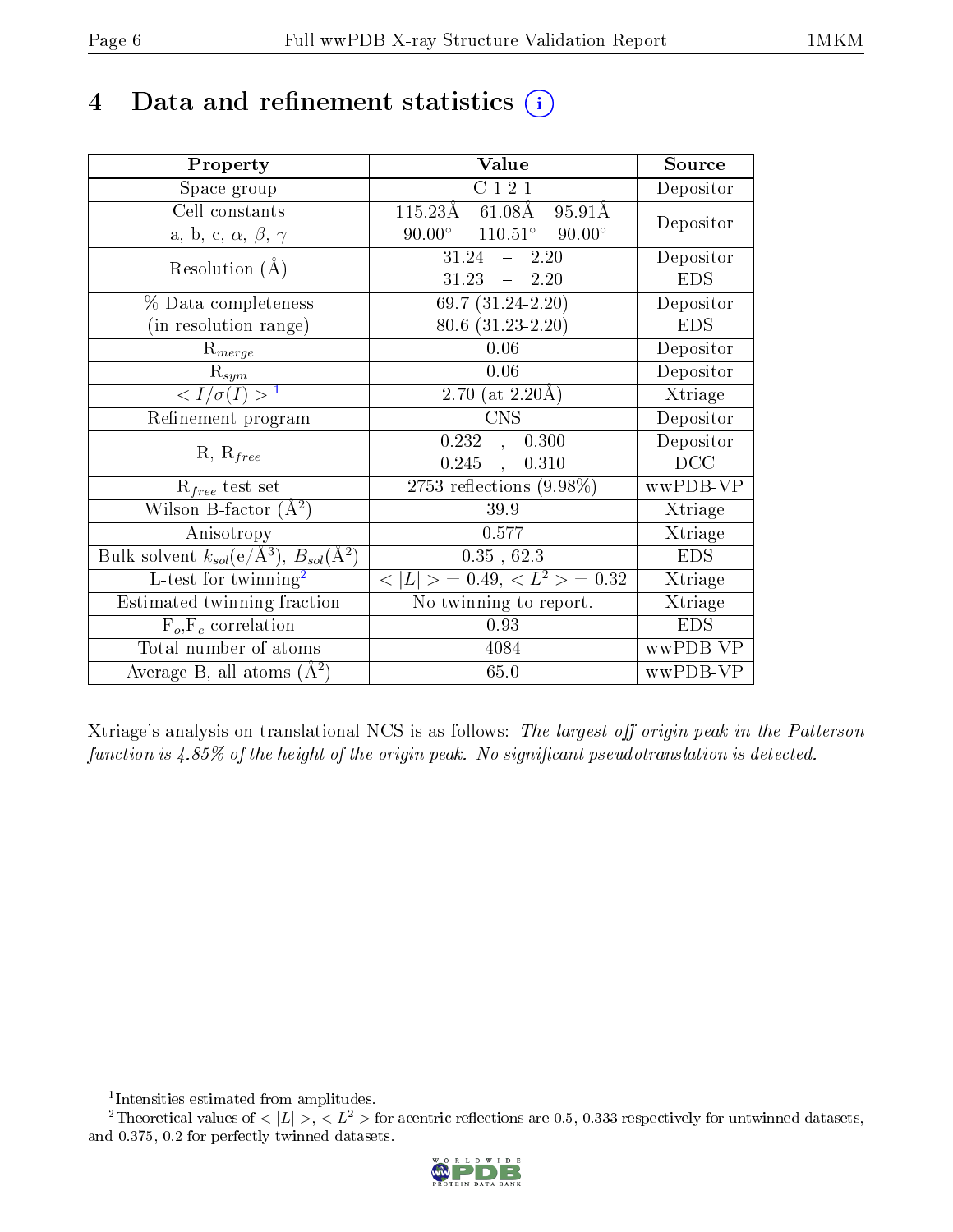## 4 Data and refinement statistics  $(i)$

| Property                                                   | Value                                             | Source     |
|------------------------------------------------------------|---------------------------------------------------|------------|
| Space group                                                | C121                                              | Depositor  |
| Cell constants                                             | $115.23\text{\AA}$<br>$61.08\text{\AA}$<br>95.91Å | Depositor  |
| a, b, c, $\alpha$ , $\beta$ , $\gamma$                     | $110.51^{\circ}$ 90.00°<br>$90.00^\circ$          |            |
| Resolution $(A)$                                           | 31.24<br>2.20<br>$\frac{1}{2}$                    | Depositor  |
|                                                            | $-2.20$<br>31.23                                  | <b>EDS</b> |
| $\%$ Data completeness                                     | $69.7(31.24-2.20)$                                | Depositor  |
| (in resolution range)                                      | $80.6$ $(31.23 - 2.20)$                           | <b>EDS</b> |
| $R_{merge}$                                                | 0.06                                              | Depositor  |
| $\mathrm{R}_{sym}$                                         | 0.06                                              | Depositor  |
| $\langle I/\sigma(I) \rangle^{-1}$                         | 2.70 (at $2.20\text{\AA}$ )                       | Xtriage    |
| Refinement program                                         | $\overline{\text{CNS}}$                           | Depositor  |
|                                                            | 0.232<br>0.300<br>$\sim$                          | Depositor  |
| $R, R_{free}$                                              | 0.245<br>0.310<br>$\ddot{\phantom{a}}$            | DCC        |
| $R_{free}$ test set                                        | 2753 reflections $(9.98\%)$                       | wwPDB-VP   |
| Wilson B-factor $(A^2)$                                    | 39.9                                              | Xtriage    |
| Anisotropy                                                 | 0.577                                             | Xtriage    |
| Bulk solvent $k_{sol}$ (e/Å <sup>3</sup> ), $B_{sol}(A^2)$ | 0.35, 62.3                                        | <b>EDS</b> |
| L-test for $\mathrm{twinning}^2$                           | $< L >$ = 0.49, $< L2$ = 0.32                     | Xtriage    |
| Estimated twinning fraction                                | No twinning to report.                            | Xtriage    |
| $\overline{F_o}, \overline{F_c}$ correlation               | 0.93                                              | <b>EDS</b> |
| Total number of atoms                                      | 4084                                              | wwPDB-VP   |
| Average B, all atoms $(A^2)$                               | 65.0                                              | wwPDB-VP   |

Xtriage's analysis on translational NCS is as follows: The largest off-origin peak in the Patterson function is  $4.85\%$  of the height of the origin peak. No significant pseudotranslation is detected.

<sup>&</sup>lt;sup>2</sup>Theoretical values of  $\langle |L| \rangle$ ,  $\langle L^2 \rangle$  for acentric reflections are 0.5, 0.333 respectively for untwinned datasets, and 0.375, 0.2 for perfectly twinned datasets.



<span id="page-5-1"></span><span id="page-5-0"></span><sup>1</sup> Intensities estimated from amplitudes.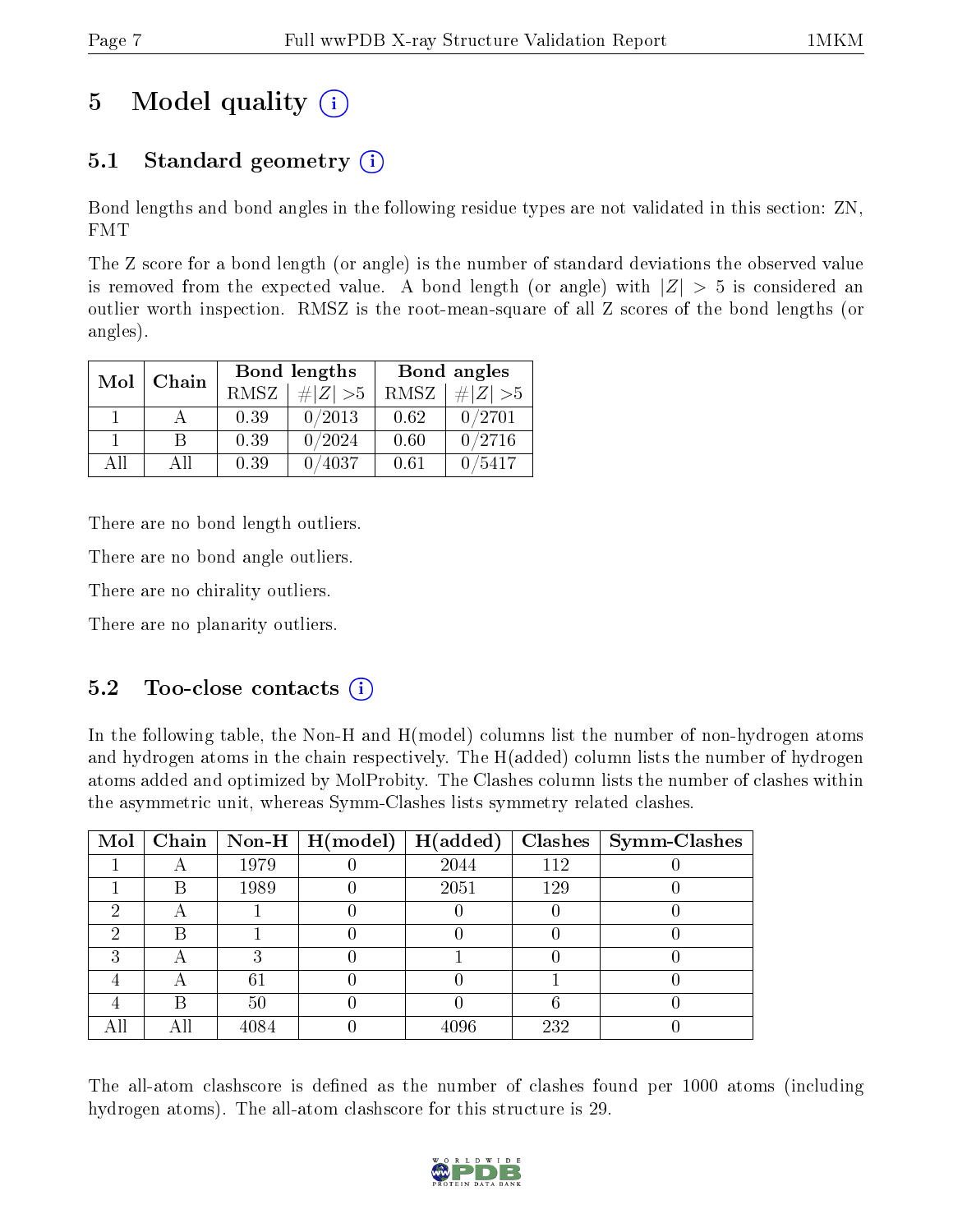## 5 Model quality  $(i)$

### 5.1 Standard geometry  $(i)$

Bond lengths and bond angles in the following residue types are not validated in this section: ZN, FMT

The Z score for a bond length (or angle) is the number of standard deviations the observed value is removed from the expected value. A bond length (or angle) with  $|Z| > 5$  is considered an outlier worth inspection. RMSZ is the root-mean-square of all Z scores of the bond lengths (or angles).

| Mol | Chain |      | <b>Bond lengths</b> | Bond angles |             |  |
|-----|-------|------|---------------------|-------------|-------------|--|
|     |       | RMSZ | $\# Z  > 5$         | RMSZ        | $\ Z\  > 5$ |  |
|     |       | 0.39 | 0/2013              | 0.62        | 0/2701      |  |
|     | R     | 0.39 | 0/2024              | 0.60        | 0/2716      |  |
| AΠ  | АH    | 0.39 | 4037                | 0.61        | 5417        |  |

There are no bond length outliers.

There are no bond angle outliers.

There are no chirality outliers.

There are no planarity outliers.

#### $5.2$  Too-close contacts  $\overline{()}$

In the following table, the Non-H and H(model) columns list the number of non-hydrogen atoms and hydrogen atoms in the chain respectively. The H(added) column lists the number of hydrogen atoms added and optimized by MolProbity. The Clashes column lists the number of clashes within the asymmetric unit, whereas Symm-Clashes lists symmetry related clashes.

| Mol |   |      | Chain   Non-H   $H (model)$ | H(added) |     | $Clashes$   Symm-Clashes |
|-----|---|------|-----------------------------|----------|-----|--------------------------|
|     |   | 1979 |                             | 2044     | 112 |                          |
|     | В | 1989 |                             | 2051     | 129 |                          |
|     |   |      |                             |          |     |                          |
| 6)  | R |      |                             |          |     |                          |
| ົ   |   |      |                             |          |     |                          |
|     |   | 61   |                             |          |     |                          |
|     |   | 50   |                             |          |     |                          |
|     |   | 4084 |                             | 4096     | 232 |                          |

The all-atom clashscore is defined as the number of clashes found per 1000 atoms (including hydrogen atoms). The all-atom clashscore for this structure is 29.

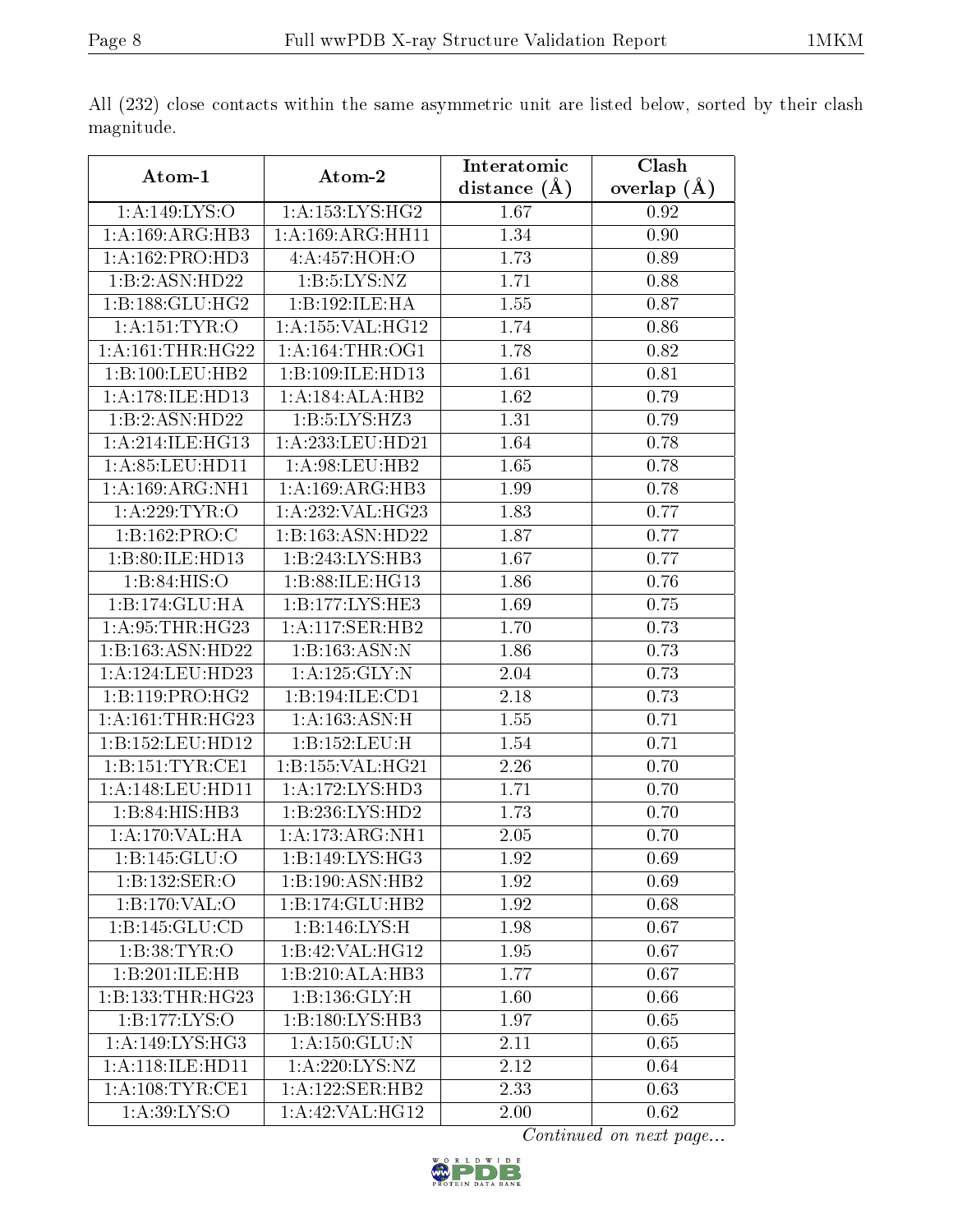|                     |                     | Interatomic    | Clash         |  |
|---------------------|---------------------|----------------|---------------|--|
| Atom-1              | Atom-2              | distance $(A)$ | overlap $(A)$ |  |
| 1:A:149:LYS:O       | 1: A: 153: LYS: HG2 | 1.67           | 0.92          |  |
| 1:A:169:ARG:HB3     | 1:A:169:ARG:HH11    | 1.34           | $0.90\,$      |  |
| 1:A:162:PRO:HD3     | 4:A:457:HOH:O       | 1.73           | 0.89          |  |
| 1:B:2:ASN:HD22      | 1: B: 5: LYS: NZ    | 1.71           | 0.88          |  |
| 1:B:188:GLU:HG2     | 1:B:192:ILE:HA      | 1.55           | 0.87          |  |
| 1:A:151:TYR:O       | 1:A:155:VAL:HG12    | 1.74           | 0.86          |  |
| 1: A:161:THR:HG22   | 1: A:164:THR:OG1    | 1.78           | 0.82          |  |
| 1:B:100:LEU:HB2     | 1:B:109:ILE:HD13    | 1.61           | 0.81          |  |
| 1:A:178:ILE:HD13    | 1:A:184:ALA:HB2     | 1.62           | 0.79          |  |
| 1:B:2:ASN:HD22      | 1:B:5:LYS:HZ3       | 1.31           | 0.79          |  |
| 1: A:214: ILE: HG13 | 1:A:233:LEU:HD21    | 1.64           | 0.78          |  |
| 1: A: 85: LEU: HD11 | 1: A:98:LEU:HB2     | 1.65           | 0.78          |  |
| 1:A:169:ARG:NH1     | 1:A:169:ARG:HB3     | 1.99           | 0.78          |  |
| 1:A:229:TYR:O       | 1:A:232:VAL:HG23    | 1.83           | 0.77          |  |
| 1:B:162:PRO:C       | 1:B:163:ASN:HD22    | 1.87           | 0.77          |  |
| 1:B:80:ILE:HD13     | 1:B:243:LYS:HB3     | 1.67           | 0.77          |  |
| 1:B:84:HIS:O        | 1:B:88:ILE:HG13     | 1.86           | 0.76          |  |
| 1:B:174:GLU:HA      | 1:B:177:LYS:HE3     | 1.69           | 0.75          |  |
| 1:A:95:THR:HG23     | 1:A:117:SER:HB2     | 1.70           | 0.73          |  |
| 1:B:163:ASN:HD22    | 1:B:163:ASN:N       | 1.86           | 0.73          |  |
| 1: A:124:LEU:HD23   | 1:A:125:GLY:N       | 2.04           | 0.73          |  |
| 1:B:119:PRO:HG2     | 1:B:194:ILE:CD1     | 2.18           | 0.73          |  |
| 1: A:161:THR:HG23   | 1: A: 163: ASN:H    | 1.55           | 0.71          |  |
| 1:B:152:LEU:HD12    | 1:B:152:LEU:H       | 1.54           | 0.71          |  |
| 1:B:151:TYR:CE1     | 1:B:155:VAL:HG21    | 2.26           | 0.70          |  |
| 1: A:148:LEU:HD11   | 1: A:172: LYS: HD3  | 1.71           | 0.70          |  |
| 1:B:84:HIS:HB3      | 1:B:236:LYS:HD2     | 1.73           | 0.70          |  |
| 1:A:170:VAL:HA      | 1:A:173:ARG:NH1     | 2.05           | 0.70          |  |
| 1:B:145:GLU:O       | 1:B:149:LYS:HG3     | 1.92           | 0.69          |  |
| 1:B:132:SER:O       | 1:B:190:ASN:HB2     | 1.92           | 0.69          |  |
| 1:B:170:VAL:O       | 1:B:174:GLU:HB2     | 1.92           | 0.68          |  |
| 1:B:145:GLU:CD      | 1:B:146:LYS:H       | 1.98           | 0.67          |  |
| 1:B:38:TYR:O        | 1:B:42:VAL:HG12     | 1.95           | 0.67          |  |
| 1:B:201:ILE:HB      | 1:B:210:ALA:HB3     | 1.77           | 0.67          |  |
| 1:B:133:THR:HG23    | 1:B:136:GLY:H       | 1.60           | 0.66          |  |
| 1:B:177:LYS:O       | 1:B:180:LYS:HB3     | 1.97           | 0.65          |  |
| 1:A:149:LYS:HG3     | 1: A: 150: GLU: N   | 2.11           | 0.65          |  |
| 1:A:118:ILE:HD11    | 1:A:220:LYS:NZ      | 2.12           | 0.64          |  |
| 1: A:108:TYR:CE1    | 1:A:122:SER:HB2     | 2.33           | 0.63          |  |
| 1: A:39: LYS: O     | 1:A:42:VAL:HG12     | 2.00           | 0.62          |  |

All (232) close contacts within the same asymmetric unit are listed below, sorted by their clash magnitude.

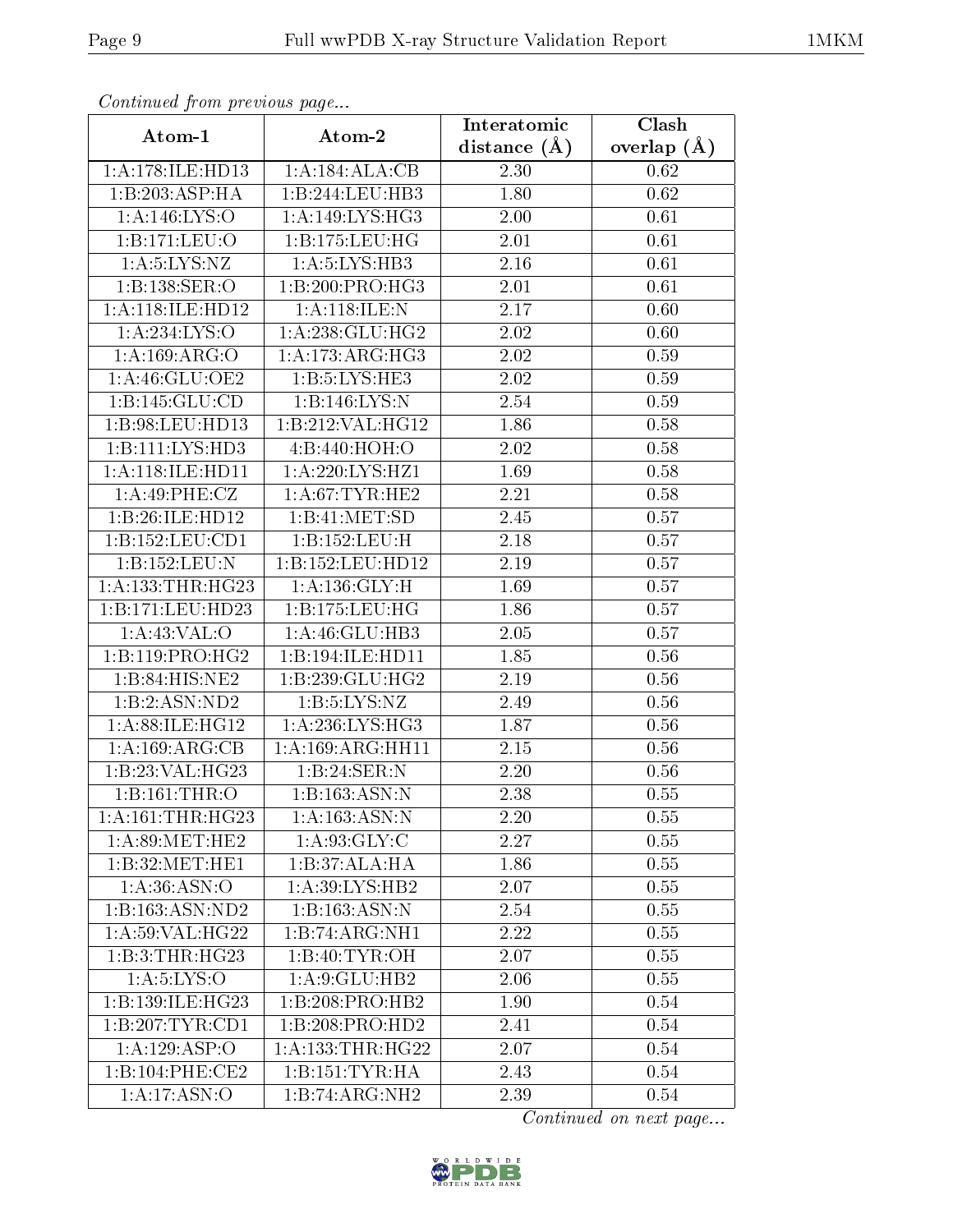| Continuou jiom protivus pugo |                             | Interatomic       | Clash           |
|------------------------------|-----------------------------|-------------------|-----------------|
| Atom-1                       | Atom-2                      | distance $(\AA)$  | overlap $(\AA)$ |
| 1:A:178:ILE:HD13             | 1:A:184:ALA:CB              | 2.30              | 0.62            |
| 1:B:203:ASP:HA               | 1:B:244:LEU:HB3             | 1.80              | 0.62            |
| 1: A: 146: LYS:O             | 1: A:149: LYS: HG3          | 2.00              | 0.61            |
| 1:B:171:LEU:O                | 1:B:175:LEU:HG              | 2.01              | 0.61            |
| 1: A: 5: LYS: NZ             | 1: A:5:LYS:HB3              | 2.16              | 0.61            |
| 1:B:138:SER:O                | 1:B:200:PRO:HG3             | 2.01              | 0.61            |
| 1:A:118:ILE:HD12             | 1:A:118:ILE:N               | 2.17              | 0.60            |
| 1:A:234:LYS:O                | 1:A:238:GLU:HG2             | 2.02              | 0.60            |
| 1:A:169:ARG:O                | 1:A:173:ARG:HG3             | 2.02              | 0.59            |
| 1:A:46:GLU:OE2               | 1: B: 5: LYS: HE3           | 2.02              | 0.59            |
| 1:B:145:GLU:CD               | 1:B:146:LYS:N               | 2.54              | 0.59            |
| 1:B:98:LEU:HD13              | 1:B:212:VAL:HG12            | $\overline{1.86}$ | 0.58            |
| 1:B:111:LYS:HD3              | 4:B:440:HOH:O               | 2.02              | 0.58            |
| 1:A:118:ILE:HD11             | 1: A:220: LYS: HZ1          | 1.69              | 0.58            |
| 1:A:49:PHE:CZ                | 1: A:67:TYR:HE2             | 2.21              | 0.58            |
| 1:B:26:ILE:HD12              | 1:B:41:MET:SD               | 2.45              | 0.57            |
| 1: B: 152: LEU: CD1          | 1:B:152:LEU:H               | 2.18              | 0.57            |
| 1:B:152:LEU:N                | 1:B:152:LEU:HD12            | 2.19              | 0.57            |
| 1:A:133:THR:HG23             | 1: A: 136: GLY: H           | 1.69              | 0.57            |
| 1:B:171:LEU:HD23             | 1:B:175:LEU:HG              | 1.86              | 0.57            |
| 1:A:43:VAL:O                 | 1:A:46:GLU:HB3              | 2.05              | 0.57            |
| 1:B:119:PRO:HG2              | 1:B:194:ILE:HD11            | 1.85              | 0.56            |
| $1:B:84:HIS:N\overline{E2}$  | 1:B:239:GLU:HG2             | 2.19              | 0.56            |
| 1:B:2:ASN:ND2                | 1: B: 5: LYS: NZ            | 2.49              | 0.56            |
| 1: A:88: ILE: HG12           | 1: A:236:LYS:HG3            | 1.87              | 0.56            |
| 1:A:169:ARG:CB               | 1: A: 169: ARG: HH11        | 2.15              | 0.56            |
| 1:B:23:VAL:HG23              | 1:B:24:SER:N                | 2.20              | 0.56            |
| 1:B:161:THR:O                | 1:B:163:ASN:N               | 2.38              | 0.55            |
| 1:A:161:THR:HG23             | 1: A: 163: ASN: N           | 2.20              | 0.55            |
| 1: A:89:MET:HE2              | 1: A:93: GLY: C             | 2.27              | 0.55            |
| 1: B:32:MET:HE1              | 1:B:37:ALA:HA               | 1.86              | 0.55            |
| 1: A:36: ASN:O               | 1:A:39:L <sub>Y</sub> S:HB2 | 2.07              | 0.55            |
| 1:B:163:ASN:ND2              | 1:B:163:ASN:N               | 2.54              | 0.55            |
| 1:A:59:VAL:HG22              | 1:B:74:ARG:NH1              | 2.22              | 0.55            |
| 1:B:3:THR:HG23               | 1:B:40:TYR:OH               | 2.07              | 0.55            |
| 1: A:5:LYS:O                 | 1: A:9: GLU: HB2            | 2.06              | 0.55            |
| 1:B:139:ILE:HG23             | 1:B:208:PRO:HB2             | 1.90              | 0.54            |
| 1:B:207:TYR:CD1              | 1:B:208:PRO:HD2             | 2.41              | 0.54            |
| 1:A:129:ASP:O                | 1: A: 133: THR: HG22        | 2.07              | 0.54            |
| 1:B:104:PHE:CE2              | 1:B:151:TYR:HA              | 2.43              | 0.54            |
| 1:A:17:ASN:O                 | $1:B:74:ARG:\overline{NH2}$ | 2.39              | 0.54            |

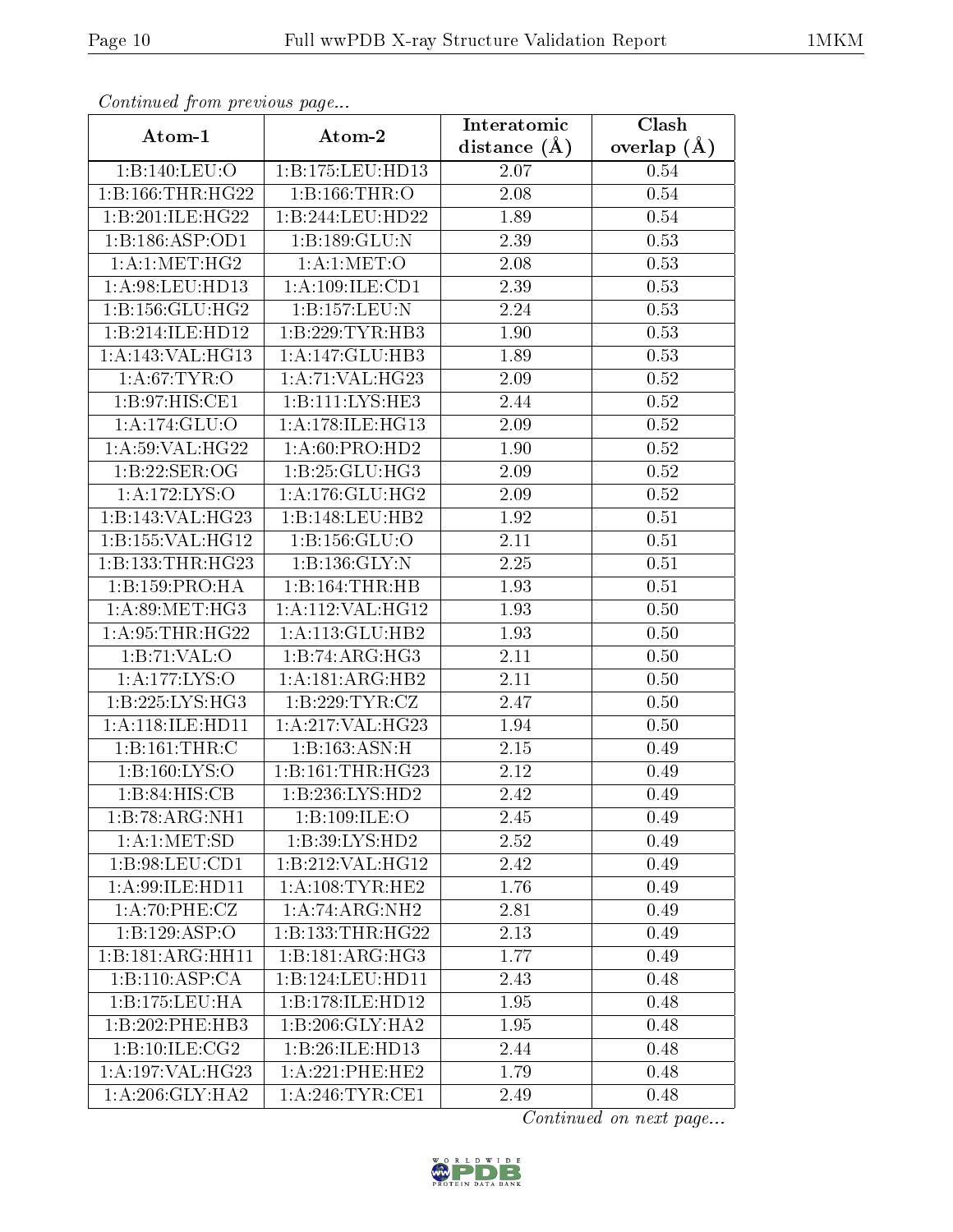| Continuea from previous page |                             | Interatomic    | Clash           |
|------------------------------|-----------------------------|----------------|-----------------|
| Atom-1                       | Atom-2                      | distance $(A)$ | overlap $(\AA)$ |
| 1:B:140:LEU:O                | 1:B:175:LEU:HD13            | 2.07           | 0.54            |
| 1:B:166:THR:HG22             | 1:B:166:THR:O               | 2.08           | 0.54            |
| 1:B:201:ILE:HG22             | 1:B:244:LEU:HD22            | 1.89           | 0.54            |
| 1:B:186:ASP:OD1              | 1:B:189:GLU:N               | 2.39           | 0.53            |
| 1:A:1:MET:HG2                | 1: A:1: MET:O               | 2.08           | 0.53            |
| 1: A:98: LEU: HD13           | 1:A:109:ILE:CD1             | 2.39           | 0.53            |
| 1:B:156:GLU:HG2              | 1:B:157:LEU:N               | 2.24           | 0.53            |
| 1:B:214:ILE:HD12             | 1:B:229:TYR:HB3             | 1.90           | 0.53            |
| 1: A:143: VAL:HG13           | 1:A:147:GLU:HB3             | 1.89           | 0.53            |
| 1: A:67:TYR:O                | 1:A:71:VAL:HG23             | 2.09           | 0.52            |
| 1: B:97: HIS: CE1            | 1:B:111:LYS:HE3             | 2.44           | 0.52            |
| $1:A:174:\overline{GLU:O}$   | 1: A:178: ILE: HG13         | 2.09           | 0.52            |
| 1: A:59: VAL: HG22           | 1:A:60:PRO:HD2              | 1.90           | 0.52            |
| 1:B:22:SER:OG                | 1:B:25:GLU:HG3              | 2.09           | 0.52            |
| 1:A:172:LYS:O                | 1: A:176: GLU: HG2          | 2.09           | 0.52            |
| 1:B:143:VAL:HG23             | 1:B:148:LEU:HB2             | 1.92           | 0.51            |
| 1:B:155:VAL:HG12             | 1: B: 156: GLU: O           | 2.11           | 0.51            |
| 1:B:133:THR:HG23             | 1:B:136:GLY:N               | 2.25           | 0.51            |
| 1:B:159:PRO:HA               | 1:B:164:THR:HB              | 1.93           | 0.51            |
| 1: A:89:MET:HG3              | 1:A:112:VAL:HG12            | 1.93           | 0.50            |
| 1: A:95:THR:HG22             | 1: A:113: GLU:HB2           | 1.93           | 0.50            |
| 1:B:71:VAL:O                 | 1:B:74:ARG:HG3              | 2.11           | 0.50            |
| 1:A:177:LYS:O                | 1: A:181: ARG:HB2           | 2.11           | 0.50            |
| 1:B:225:LYS:HG3              | 1: B: 229: TYR: CZ          | 2.47           | 0.50            |
| 1:A:118:ILE:HD11             | 1: A:217: VAL:HG23          | 1.94           | 0.50            |
| 1:B:161:THR:C                | 1:B:163:ASN:H               | 2.15           | 0.49            |
| 1: B: 160: LYS: O            | 1:B:161:THR:HG23            | 2.12           | 0.49            |
| 1: B:84: HIS: CB             | 1:B:236:LYS:HD2             | $2.42\,$       | 0.49            |
| $1:B:78:ARG:\overline{NH1}$  | 1:B:109:ILE:O               | 2.45           | 0.49            |
| 1: A:1: MET:SD               | 1: B:39: LYS: HD2           | 2.52           | 0.49            |
| 1: B:98: LEU: CD1            | 1:B:212:VAL:HG12            | 2.42           | 0.49            |
| 1: A:99: ILE: HD11           | 1: A:108: TYR: HE2          | 1.76           | 0.49            |
| 1:A:70:PHE:CZ                | $1:A:74:ARG:\overline{NH2}$ | 2.81           | 0.49            |
| 1:B:129:ASP:O                | 1:B:133:THR:HG22            | 2.13           | 0.49            |
| 1:B:181:ARG:HH11             | 1:B:181:ARG:HG3             | 1.77           | 0.49            |
| 1:B:110:ASP:CA               | 1:B:124:LEU:HD11            | 2.43           | 0.48            |
| 1:B:175:LEU:HA               | 1:B:178:ILE:HD12            | 1.95           | 0.48            |
| 1:B:202:PHE:HB3              | 1:B:206:GLY:HA2             | 1.95           | 0.48            |
| 1:B:10:ILE:CG2               | 1:B:26:ILE:HD13             | 2.44           | 0.48            |
| 1:A:197:VAL:HG23             | $1: A:221:$ PHE:HE2         | 1.79           | 0.48            |
| 1: A:206: GLY:HA2            | 1: A:246:TYR:CE1            | 2.49           | 0.48            |

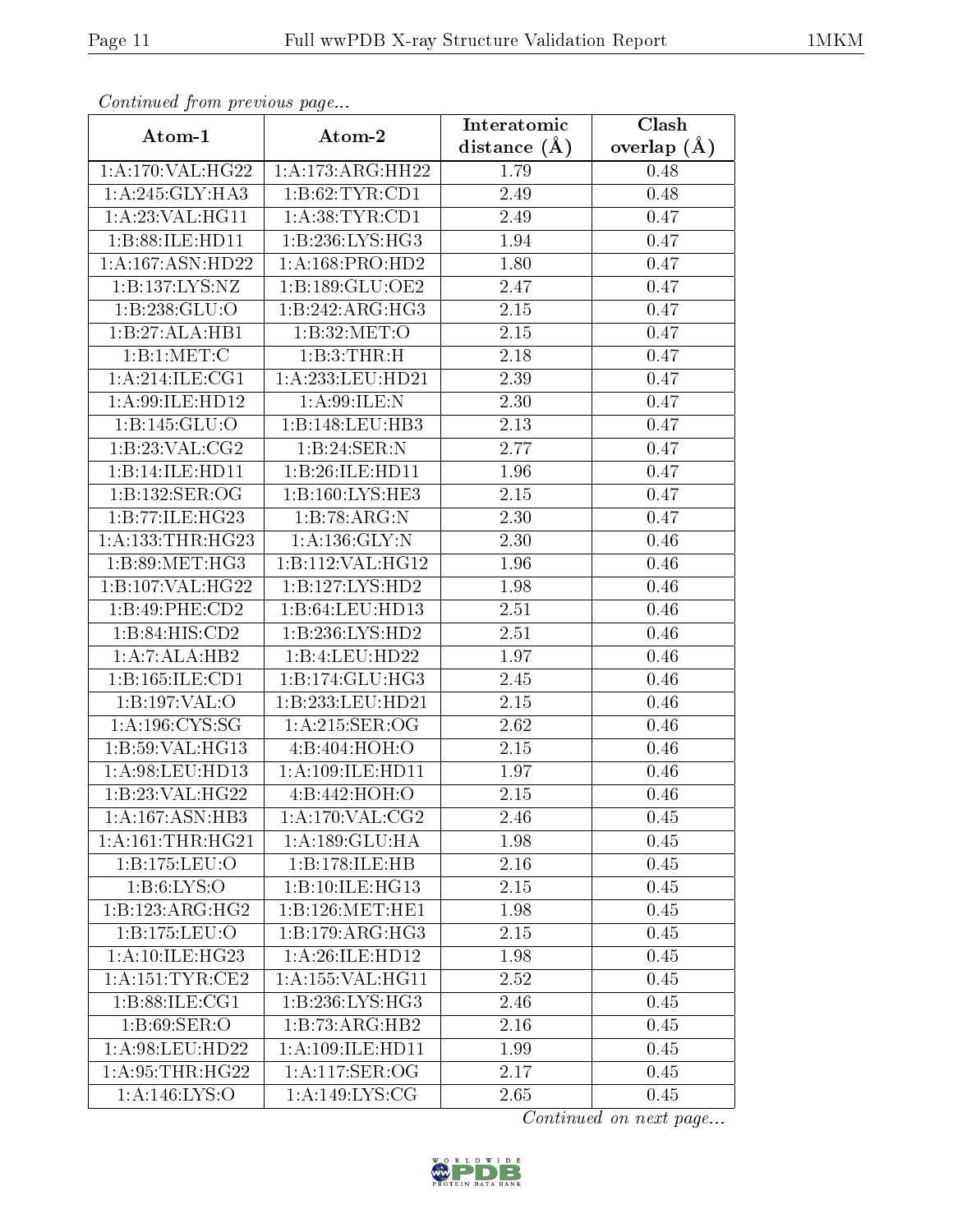| Continuea from previous page<br>Clash<br>Interatomic |                                    |                |                 |  |
|------------------------------------------------------|------------------------------------|----------------|-----------------|--|
| Atom-1                                               | Atom-2                             | distance $(A)$ | overlap $(\AA)$ |  |
| 1: A:170: VAL:HG22                                   | 1: A:173:ARG:HH22                  | 1.79           | 0.48            |  |
| 1:A:245:GLY:HA3                                      | 1:B:62:TYR:CD1                     | 2.49           | 0.48            |  |
| 1: A:23: VAL:HGI1                                    | 1: A:38:TYR:CD1                    | 2.49           | 0.47            |  |
| 1:B:88:ILE:HD11                                      | 1:B:236:LYS:HG3                    | 1.94           | 0.47            |  |
| 1:A:167:ASN:HD22                                     | 1: A: 168: PRO: HD2                | 1.80           | 0.47            |  |
| 1:B:137:LYS:NZ                                       | 1:B:189:GLU:OE2                    | 2.47           | 0.47            |  |
| 1:B:238:GLU:O                                        | 1:B:242:ARG:HG3                    | 2.15           | 0.47            |  |
| 1:B:27:ALA:HB1                                       | 1:B:32:MET:O                       | 2.15           | 0.47            |  |
| 1:B:1:MET:C                                          | 1:B:3:THR:H                        | 2.18           | 0.47            |  |
| 1: A:214: ILE: CG1                                   | 1:A:233:LEU:HD21                   | 2.39           | 0.47            |  |
| 1: A:99: ILE: HD12                                   | 1: A:99: ILE:N                     | 2.30           | 0.47            |  |
| 1:B:145:GLU:O                                        | 1:B:148:LEU:HB3                    | 2.13           | 0.47            |  |
| 1:B:23:VAL:CG2                                       | 1:B:24:SER:N                       | 2.77           | 0.47            |  |
| 1:B:14:ILE:HD11                                      | 1:B:26:ILE:HD11                    | 1.96           | 0.47            |  |
| 1: B: 132: SER: OG                                   | 1:B:160:LYS:HE3                    | $2.15\,$       | 0.47            |  |
| 1:B:77:ILE:HG23                                      | 1:B:78:ARG:N                       | 2.30           | 0.47            |  |
| 1: A: 133: THR: HG23                                 | 1: A: 136: GLY:N                   | 2.30           | 0.46            |  |
| 1: B:89:MET:HG3                                      | 1:B:112:VAL:HG12                   | 1.96           | 0.46            |  |
| 1:B:107:VAL:HG22                                     | 1:B:127:LYS:HD2                    | 1.98           | 0.46            |  |
| 1:B:49:PHE:CD2                                       | 1:B:64:LEU:HD13                    | 2.51           | 0.46            |  |
| 1:B:84:HIS:CD2                                       | 1:B:236:LYS:HD2                    | 2.51           | 0.46            |  |
| 1:A:7:ALA:HB2                                        | 1:B:4:LEU:HD22                     | 1.97           | 0.46            |  |
| 1:B:165:ILE:CD1                                      | 1:B:174:GLU:HG3                    | 2.45           | 0.46            |  |
| 1:B:197:VAL:O                                        | 1:B:233:LEU:HD21                   | 2.15           | 0.46            |  |
| 1: A: 196: CYS: SG                                   | 1: A:215: SER:OG                   | 2.62           | 0.46            |  |
| $1:B:59:V\overline{\mathrm{AL:HG13}}$                | 4:B:404:HOH:O                      | 2.15           | 0.46            |  |
| 1: A:98: LEU: HD13                                   | 1:A:109:ILE:HD11                   | 1.97           | 0.46            |  |
| 1:B:23:VAL:HG22                                      | 4:B:442:HOH:O                      | 2.15           | 0.46            |  |
| 1:A:167:ASN:HB3                                      | 1:A:170:VAL:CG2                    | 2.46           | 0.45            |  |
| 1:A:161:THR:HG21                                     | 1:A:189:GLU:HA                     | 1.98           | 0.45            |  |
| 1:B:175:LEU:O                                        | 1:B:178:ILE:HB                     | 2.16           | 0.45            |  |
| 1: B:6: LYS:O                                        | 1:B:10:ILE:HG13                    | 2.15           | 0.45            |  |
| 1:B:123:ARG:HG2                                      | 1:B:126:MET:HE1                    | 1.98           | 0.45            |  |
| 1:B:175:LEU:O                                        | 1:B:179:ARG:HG3                    | 2.15           | 0.45            |  |
| 1:A:10:ILE:HG23                                      | 1: A:26: ILE:HD12                  | 1.98           | 0.45            |  |
| 1: A:151:TYR:CE2                                     | 1:A:155:VAL:HG11                   | 2.52           | 0.45            |  |
| 1: B:88: ILE: CG1                                    | 1: B: 236: LYS: HG3                | 2.46           | 0.45            |  |
| 1: B:69: SER:O                                       | 1:B:73:ARG:HB2                     | 2.16           | 0.45            |  |
| 1: A:98: LEU: HD22                                   | 1: A: 109: ILE: HD11               | 1.99           | 0.45            |  |
| 1: A:95:THR:HG22                                     | 1:A:117:SER:OG                     | 2.17           | 0.45            |  |
| 1:A:146:LYS:O                                        | $1:A:149:\overline{\text{LYS:CG}}$ | 2.65           | 0.45            |  |

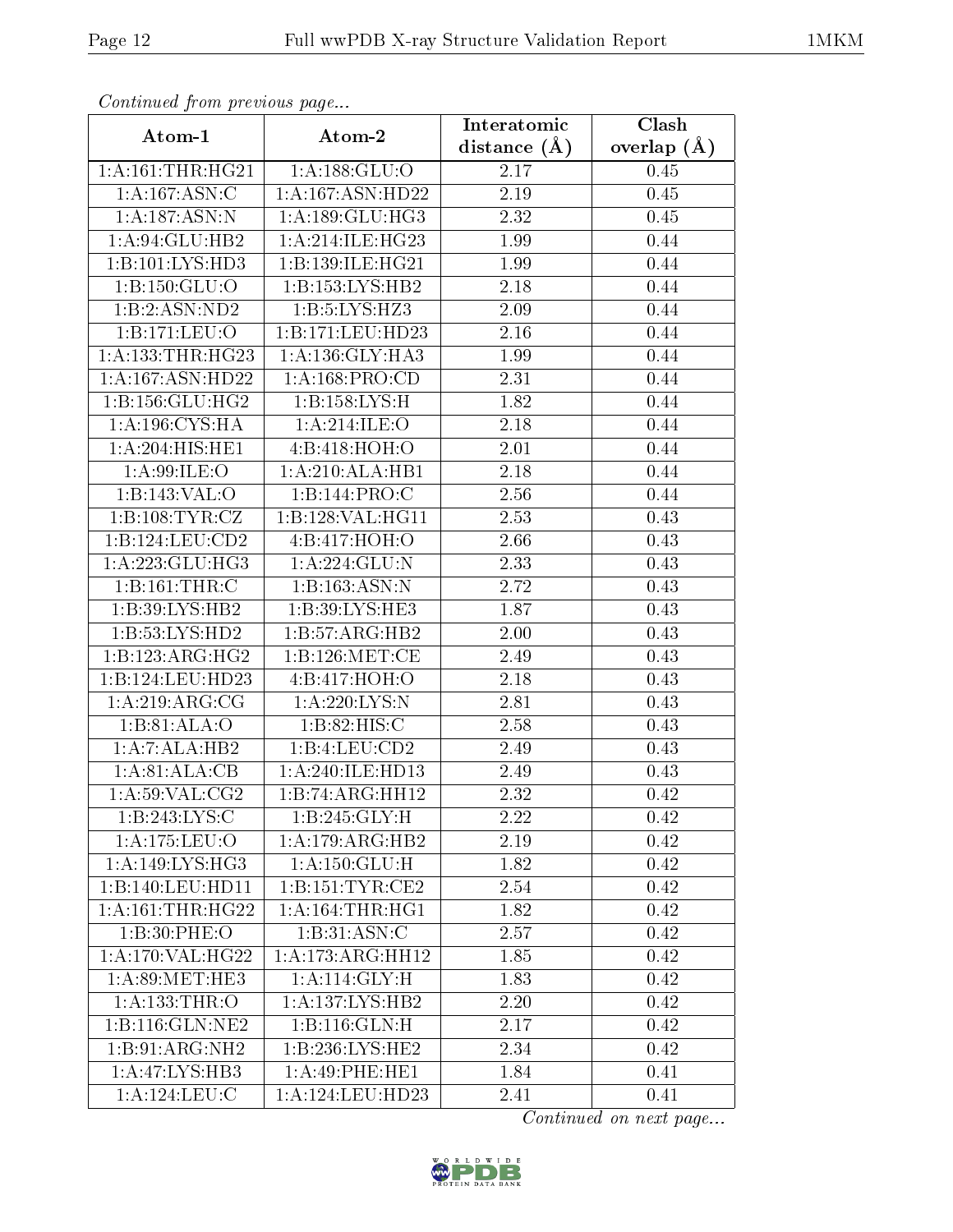|                                    | Commuca from previous page        |                                 | Clash         |
|------------------------------------|-----------------------------------|---------------------------------|---------------|
| Atom-1                             | Atom-2                            | Interatomic<br>distance $(\AA)$ | overlap $(A)$ |
| 1: A:161:THR:HG21                  | 1: A: 188: GLU:O                  | 2.17                            | 0.45          |
| $1:A:\overline{167:ASN:C}$         | 1:A:167:ASN:HD22                  | 2.19                            | 0.45          |
| 1: A: 187: ASN: N                  | 1: A: 189: GLU: HG3               | 2.32                            | 0.45          |
| 1:A:94:GLU:HB2                     | 1:A:214:ILE:HG23                  | 1.99                            | 0.44          |
| 1:B:101:LYS:HD3                    | 1:B:139:ILE:HG21                  | 1.99                            | 0.44          |
| 1: B: 150: GLU: O                  | 1:B:153:LYS:HB2                   | 2.18                            | 0.44          |
| 1:B:2:ASN:ND2                      | 1:B:5:LYS:HZ3                     | 2.09                            | 0.44          |
| 1:B:171:LEU:O                      | 1:B:171:LEU:HD23                  | 2.16                            | 0.44          |
| 1: A: 133: THR: HG23               | 1: A: 136: GLY: HA3               | 1.99                            | 0.44          |
| 1:A:167:ASN:HD22                   | 1: A: 168: PRO:CD                 | 2.31                            | 0.44          |
| 1:B:156:GLU:HG2                    | 1:B:158:LYS:H                     | 1.82                            | 0.44          |
| 1: A:196: CYS:HA                   | 1:A:214:ILE:O                     | 2.18                            | 0.44          |
| 1:A:204:HIS:HE1                    | 4:B:418:HOH:O                     | 2.01                            | 0.44          |
| 1: A:99: ILE: O                    | 1:A:210:ALA:HB1                   | 2.18                            | 0.44          |
| 1:B:143:VAL:O                      | 1:B:144:PRO:C                     | 2.56                            | 0.44          |
| 1:B:108:TYR:CZ                     | 1:B:128:VAL:HG11                  | 2.53                            | 0.43          |
| 1:B:124:LEU:CD2                    | $4:B:417:\overline{HOH:O}$        | 2.66                            | 0.43          |
| 1: A:223: GLU:HG3                  | 1:A:224:GLU:N                     | 2.33                            | 0.43          |
| 1:B:161:THR:C                      | 1:B:163:ASN:N                     | 2.72                            | 0.43          |
| 1:B:39:LYS:HB2                     | 1:B:39:LYS:HE3                    | 1.87                            | 0.43          |
| 1: B:53: LYS: HD2                  | 1:B:57:ARG:HB2                    | 2.00                            | 0.43          |
| 1:B:123:ARG:HG2                    | 1:B:126:MET:CE                    | 2.49                            | 0.43          |
| 1:B:124:LEU:HD23                   | 4:B:417:HOH:O                     | 2.18                            | 0.43          |
| 1: A:219:ARG:CG                    | 1:A:220:LYS:N                     | 2.81                            | 0.43          |
| 1:B:81:ALA:O                       | 1:B:82:HIS:C                      | 2.58                            | 0.43          |
| 1:A:7:ALA:HB2                      | 1:B:4:LEU:CD2                     | 2.49                            | 0.43          |
| 1: A:81: ALA:CB                    | 1:A:240:ILE:HD13                  | 2.49                            | 0.43          |
| 1: A:59: VAL: CG2                  | 1:B:74:ARG:HH12                   | 2.32                            | 0.42          |
| 1:B:243:LYS:C                      | 1:B:245:GLY:H                     | 2.22                            | 0.42          |
| $1:$ A:175:LEU:O                   | 1:A:179:ARG:HB2                   | 2.19                            | 0.42          |
| 1:A:149:LYS:HG3                    | $1:A:150:\overline{\text{GLU:H}}$ | 1.82                            | 0.42          |
| 1:B:140:LEU:HD11                   | 1:B:151:TYR:CE2                   | 2.54                            | 0.42          |
| 1: A:161:THR:HG22                  | 1: A:164:THR:HGI                  | 1.82                            | 0.42          |
| 1:B:30:PHE:O                       | 1: B:31: ASN: C                   | 2.57                            | 0.42          |
| 1: A:170: VAL:HG22                 | 1:A:173:ARG:HH12                  | 1.85                            | 0.42          |
| 1: A:89:MET:HE3                    | 1:A:114:GLY:H                     | 1.83                            | 0.42          |
| 1:A:133:THR:O                      | 1:A:137:LYS:HB2                   | 2.20                            | 0.42          |
| 1:B:116:GLN:NE2                    | 1: B: 116: GLN:H                  | 2.17                            | 0.42          |
| 1:B:91:ARG:NH2                     | 1:B:236:LYS:HE2                   | 2.34                            | 0.42          |
| $1:A:47:\overline{\text{LYS:HB3}}$ | 1:A:49:PHE:HE1                    | 1.84                            | 0.41          |
| 1:A:124:LEU:C                      | 1:A:124:LEU:HD23                  | 2.41                            | 0.41          |

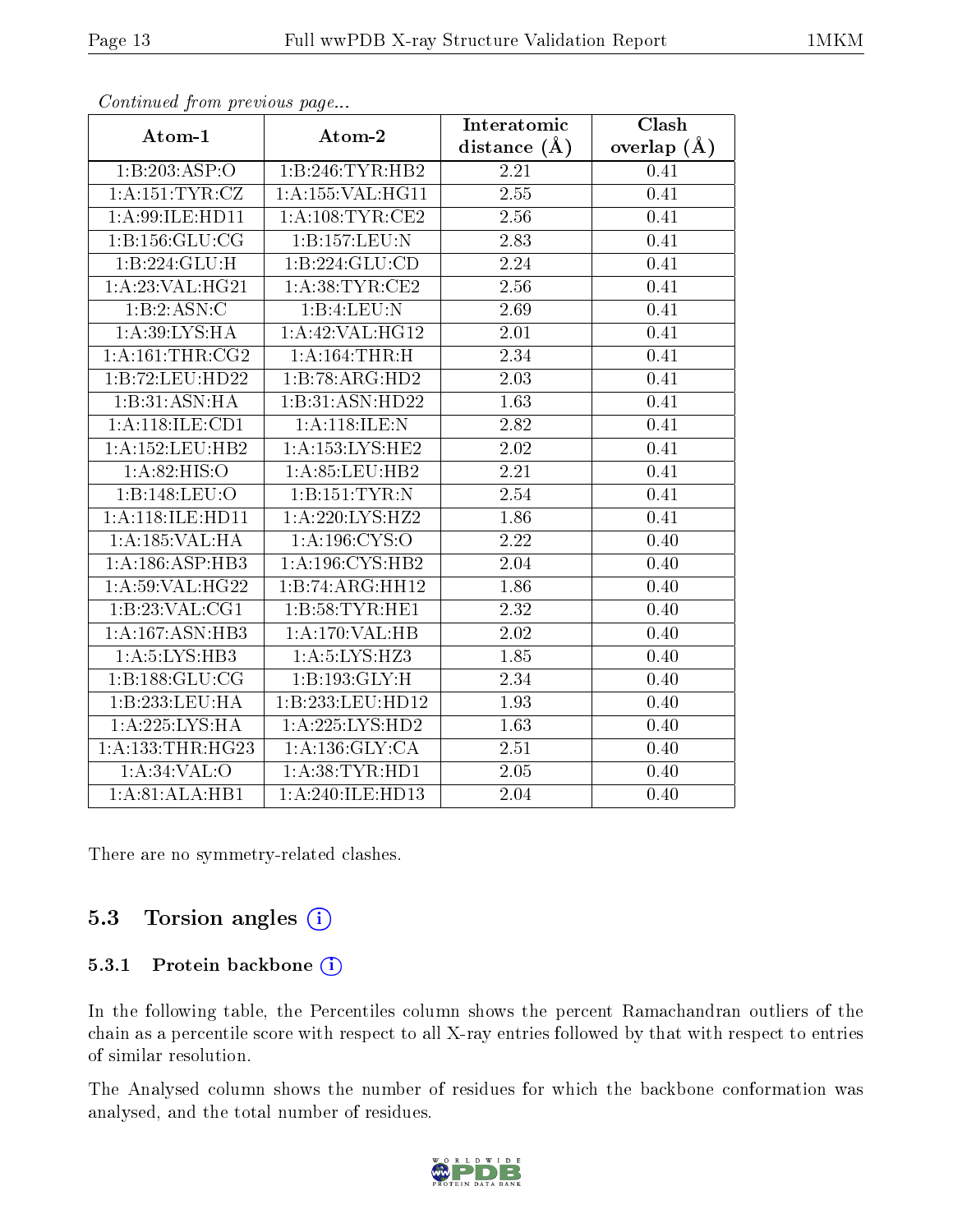| . <i>. .</i>                | $\cdots$ $\cdots$ $\cdots$ $\cdots$ | Interatomic    | Clash         |
|-----------------------------|-------------------------------------|----------------|---------------|
| Atom-1                      | Atom-2                              | distance $(A)$ | overlap $(A)$ |
| 1:B:203:ASP:O               | 1:B:246:TYR:HB2                     | 2.21           | 0.41          |
| 1: A:151:TYR:CZ             | 1:A:155:VAL:HG11                    | 2.55           | 0.41          |
| 1: A:99: ILE: HD11          | 1:A:108:TYR:CE2                     | 2.56           | 0.41          |
| 1:B:156:GLU:CG              | 1:B:157:LEU:N                       | 2.83           | 0.41          |
| 1:B:224:GLU:H               | 1:B:224:GLU:CD                      | 2.24           | 0.41          |
| 1:A:23:VAL:HG21             | 1: A:38:TYR:CE2                     | 2.56           | 0.41          |
| 1:B:2:ASN:C                 | 1:B:4:LEU:N                         | 2.69           | 0.41          |
| 1: A:39: LYS: HA            | $1:$ A:42:VAL:HG12                  | 2.01           | 0.41          |
| 1:A:161:THR:CG2             | 1:A:164:THR:H                       | 2.34           | 0.41          |
| 1:B:72:LEU:HD22             | 1:B:78:ARG:HD2                      | 2.03           | 0.41          |
| 1:B:31:ASN:HA               | 1:B:31:ASN:HD22                     | 1.63           | 0.41          |
| 1:A:118:ILE:CD1             | 1:A:118:ILE:N                       | 2.82           | 0.41          |
| 1: A: 152: LEU: HB2         | 1: A: 153: LYS: HE2                 | 2.02           | 0.41          |
| 1: A:82: HIS:O              | 1: A:85:LEU:HB2                     | 2.21           | 0.41          |
| 1:B:148:LEU:O               | 1:B:151:TYR:N                       | 2.54           | 0.41          |
| 1: A:118: ILE: HD11         | 1:A:220:LYS:HZ2                     | 1.86           | 0.41          |
| 1:A:185:VAL:HA              | 1: A: 196: CYS:O                    | 2.22           | 0.40          |
| 1: A: 186: ASP: HB3         | 1: A: 196: CYS: HB2                 | 2.04           | 0.40          |
| 1: A:59: VAL:HG22           | 1:B:74:ARG:HH12                     | 1.86           | 0.40          |
| 1:B:23:VAL:CG1              | 1:B:58:TYR:HE1                      | 2.32           | 0.40          |
| 1:A:167:ASN:HB3             | 1:A:170:VAL:HB                      | 2.02           | 0.40          |
| 1: A:5: LYS: HB3            | 1: A: 5: LYS: HZ3                   | 1.85           | 0.40          |
| 1:B:188:GLU:CG              | 1:B:193:GLY:H                       | 2.34           | 0.40          |
| 1:B:233:LEU:HA              | 1:B:233:LEU:HD12                    | 1.93           | 0.40          |
| 1:A:225:LYS:HA              | 1:A:225:LYS:HD2                     | 1.63           | 0.40          |
| 1: A: 133: THR: HG23        | 1: A: 136: GLY: CA                  | 2.51           | 0.40          |
| $1: A:34:VAL:$ <sup>O</sup> | 1: A:38: TYR: HD1                   | 2.05           | 0.40          |
| 1:A:81:ALA:HB1              | 1:A:240:ILE:HD13                    | 2.04           | 0.40          |

There are no symmetry-related clashes.

#### 5.3 Torsion angles  $(i)$

#### 5.3.1 Protein backbone (i)

In the following table, the Percentiles column shows the percent Ramachandran outliers of the chain as a percentile score with respect to all X-ray entries followed by that with respect to entries of similar resolution.

The Analysed column shows the number of residues for which the backbone conformation was analysed, and the total number of residues.

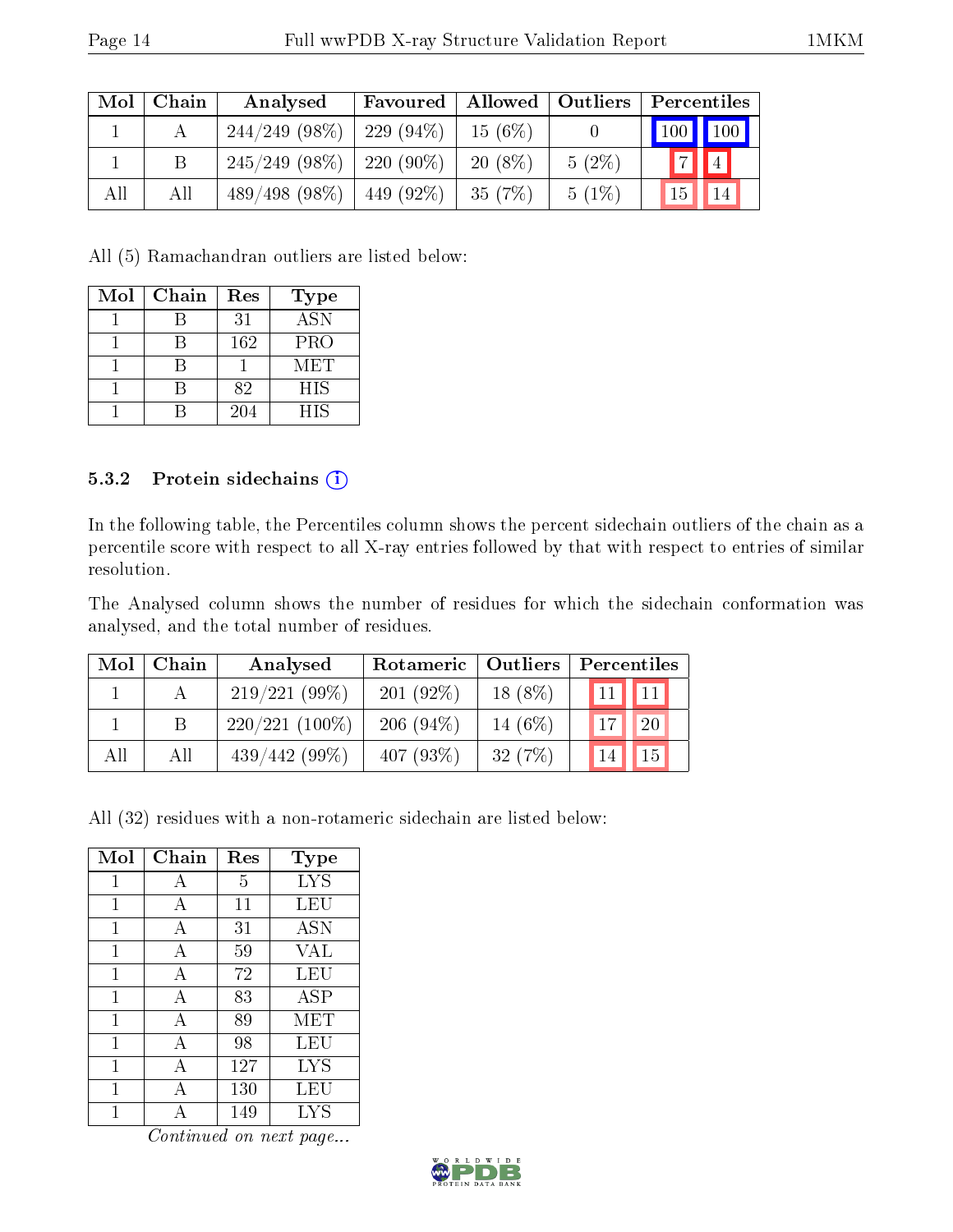| Mol | Chain | Analysed                      |              |           |          | Favoured   Allowed   Outliers   Percentiles |
|-----|-------|-------------------------------|--------------|-----------|----------|---------------------------------------------|
|     |       | $244/249$ (98\%)   229 (94\%) |              | $15(6\%)$ |          | 100 100                                     |
|     |       | $245/249$ (98\%)              | $-220(90\%)$ | $20(8\%)$ | $5(2\%)$ | $\boxed{4}$<br> 7                           |
| All | All   | $489/498$ (98\%)   449 (92\%) |              | $-35(7%)$ | $5(1\%)$ | 15                                          |

All (5) Ramachandran outliers are listed below:

| Mol | Chain | Res | <b>Type</b> |
|-----|-------|-----|-------------|
|     |       | 31  | <b>ASN</b>  |
|     |       | 162 | <b>PRO</b>  |
|     |       |     | MET         |
|     |       | 82  | <b>HIS</b>  |
|     |       | 204 | <b>HIS</b>  |

#### 5.3.2 Protein sidechains  $(i)$

In the following table, the Percentiles column shows the percent sidechain outliers of the chain as a percentile score with respect to all X-ray entries followed by that with respect to entries of similar resolution.

The Analysed column shows the number of residues for which the sidechain conformation was analysed, and the total number of residues.

| Mol | Chain | Analysed         | Rotameric   | <b>Outliers</b> | Percentiles |    |
|-----|-------|------------------|-------------|-----------------|-------------|----|
|     |       | $219/221(99\%)$  | 201(92%)    | $18(8\%)$       | 11          | 11 |
|     |       | $220/221(100\%)$ | $206(94\%)$ | 14 (6%)         |             | 20 |
| All | All   | $439/442(99\%)$  | 407 $(93%)$ | 32(7%)          |             | 15 |

All (32) residues with a non-rotameric sidechain are listed below:

| Mol | Chain | Res | $_{\rm Type}$ |
|-----|-------|-----|---------------|
| 1   | А     | 5   | LYS           |
| 1   | А     | 11  | LEU           |
| 1   | A     | 31  | <b>ASN</b>    |
| 1   | А     | 59  | <b>VAL</b>    |
| 1   | А     | 72  | LEU           |
| 1   | A     | 83  | ASP           |
| 1   | А     | 89  | MET           |
| 1   | A     | 98  | LEU           |
| 1   | A     | 127 | <b>LYS</b>    |
| 1   | А     | 130 | LEU           |
|     |       | 149 | LYS           |

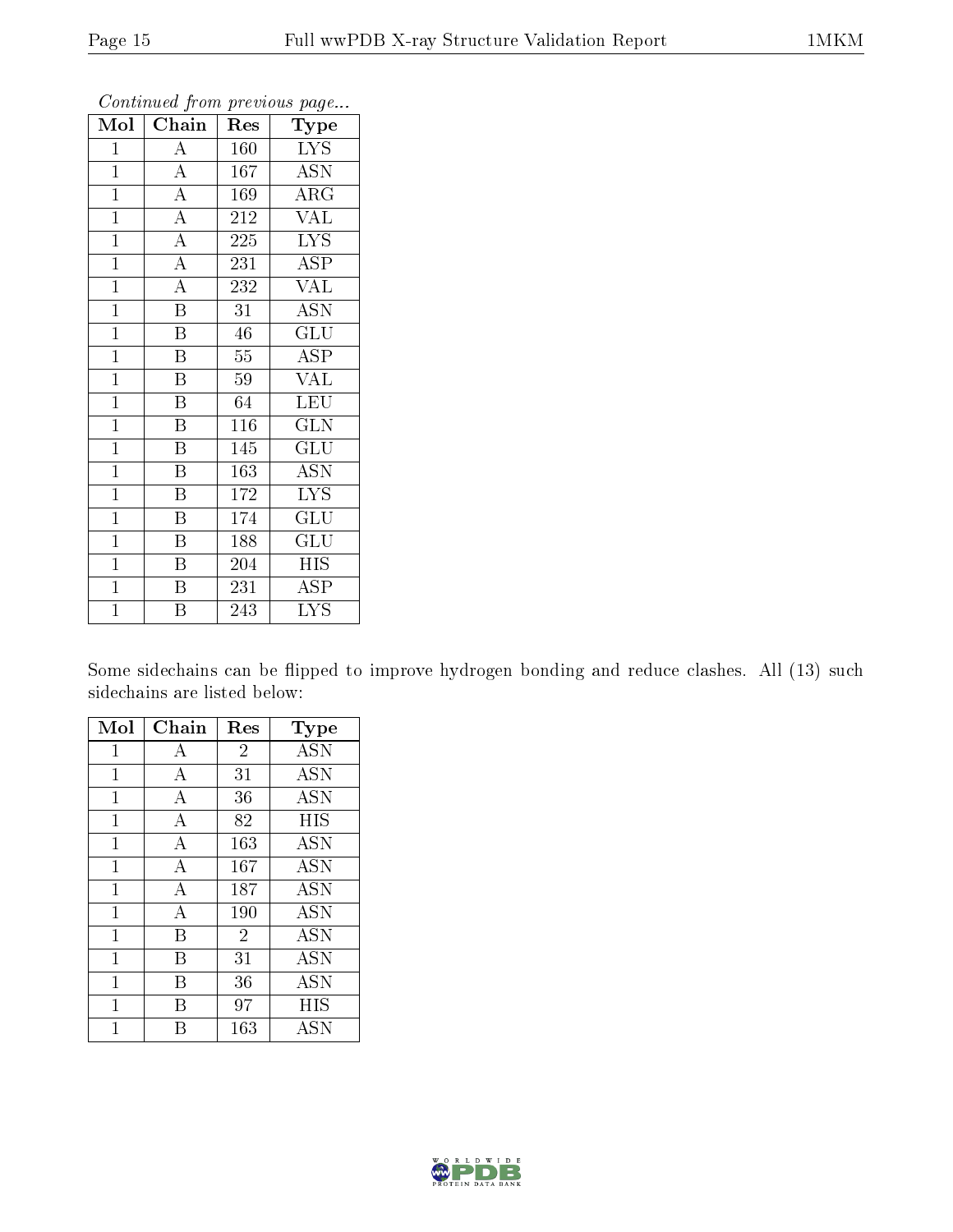| Mol            | Chain                   | Res | Type                      |
|----------------|-------------------------|-----|---------------------------|
| $\mathbf 1$    | $\rm A$                 | 160 | <b>LYS</b>                |
| $\mathbf{1}$   | $\overline{\rm A}$      | 167 | <b>ASN</b>                |
| $\mathbf{1}$   | $\overline{A}$          | 169 | $\rm{ARG}$                |
| $\mathbf{1}$   | $\overline{A}$          | 212 | <b>VAL</b>                |
| $\overline{1}$ | $\overline{A}$          | 225 | $\overline{\text{LYS}}$   |
| $\mathbf{1}$   | $\overline{A}$          | 231 | ASP                       |
| $\mathbf{1}$   | $\overline{A}$          | 232 | <b>VAL</b>                |
| $\mathbf{1}$   | $\overline{\mathrm{B}}$ | 31  | <b>ASN</b>                |
| $\mathbf{1}$   | $\mathbf B$             | 46  | GLU                       |
| $\overline{1}$ | $\overline{\mathrm{B}}$ | 55  | $\overline{\rm ASP}$      |
| $\mathbf{1}$   | $\overline{\mathrm{B}}$ | 59  | VAL                       |
| $\overline{1}$ | $\overline{\mathrm{B}}$ | 64  | LEU                       |
| $\overline{1}$ | $\overline{\mathrm{B}}$ | 116 | GLN                       |
| $\mathbf{1}$   | $\overline{\mathrm{B}}$ | 145 | $\overline{{\rm GLU}}$    |
| $\mathbf{1}$   | B                       | 163 | <b>ASN</b>                |
| $\mathbf{1}$   | $\overline{\mathrm{B}}$ | 172 | <b>LYS</b>                |
| $\mathbf{1}$   | $\overline{\mathrm{B}}$ | 174 | $\overline{\mathrm{GLU}}$ |
| $\mathbf{1}$   | $\boldsymbol{B}$        | 188 | GLU                       |
| $\mathbf{1}$   | Β                       | 204 | HIS                       |
| $\mathbf{1}$   | $\overline{\mathrm{B}}$ | 231 | ASP                       |
| $\overline{1}$ | $\overline{\mathrm{B}}$ | 243 | <b>LYS</b>                |

Some sidechains can be flipped to improve hydrogen bonding and reduce clashes. All (13) such sidechains are listed below:

| Mol          | Chain | $\operatorname{Res}% \left( \mathcal{N}\right) \equiv\operatorname{Res}(\mathcal{N}_{0})\cap\mathcal{N}_{1}$ | Type       |
|--------------|-------|--------------------------------------------------------------------------------------------------------------|------------|
| $\mathbf{1}$ | А     | $\overline{2}$                                                                                               | <b>ASN</b> |
| 1            | А     | 31                                                                                                           | <b>ASN</b> |
| 1            | А     | 36                                                                                                           | <b>ASN</b> |
| 1            | А     | 82                                                                                                           | HIS        |
| 1            | А     | 163                                                                                                          | <b>ASN</b> |
| 1            | А     | 167                                                                                                          | <b>ASN</b> |
| 1            | А     | 187                                                                                                          | <b>ASN</b> |
| 1            | А     | 190                                                                                                          | <b>ASN</b> |
| $\mathbf{1}$ | B     | $\overline{2}$                                                                                               | <b>ASN</b> |
| 1            | В     | 31                                                                                                           | <b>ASN</b> |
| 1            | В     | 36                                                                                                           | <b>ASN</b> |
| 1            | В     | 97                                                                                                           | HIS        |
|              |       | 163                                                                                                          | ASN        |

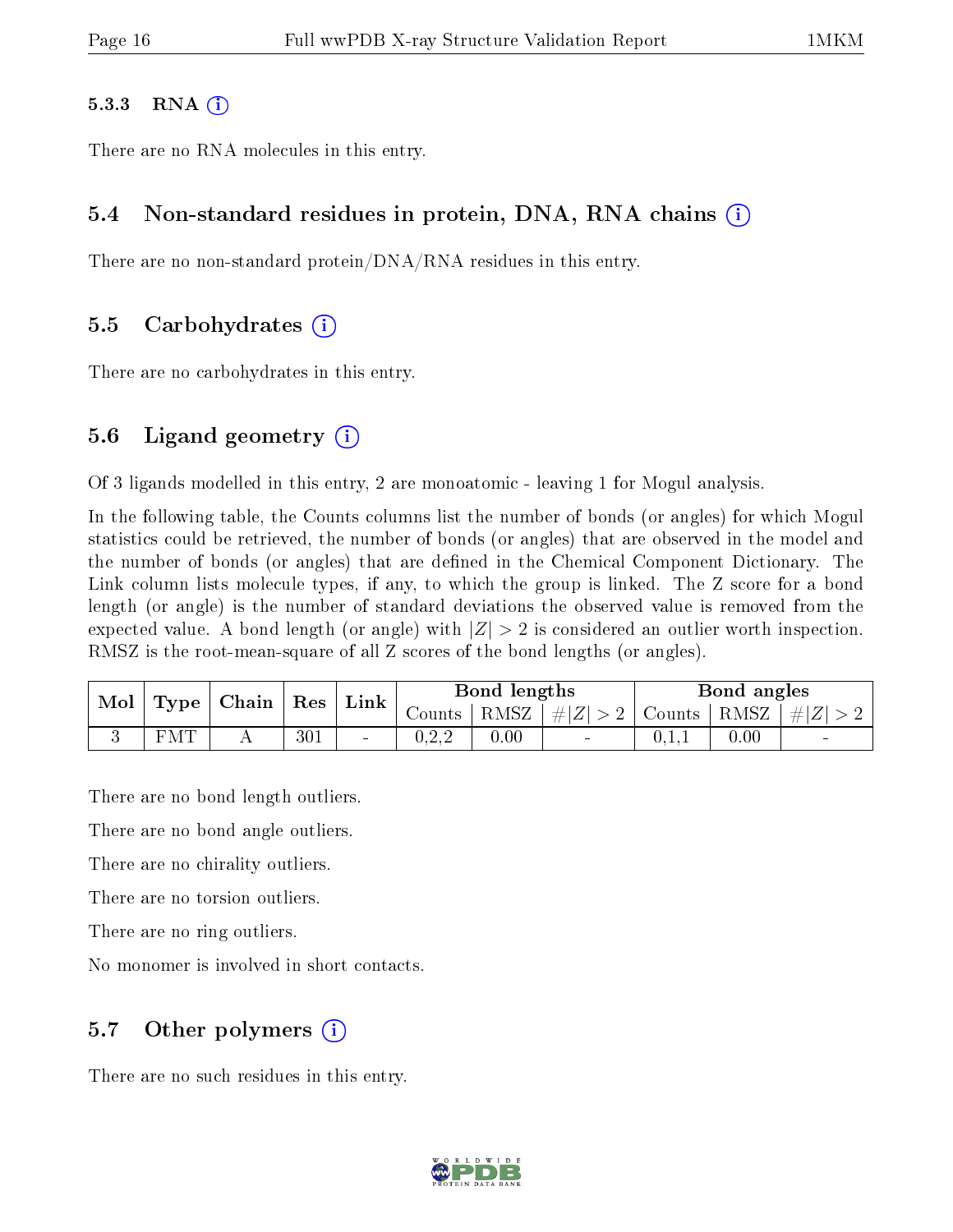#### 5.3.3 RNA  $(i)$

There are no RNA molecules in this entry.

#### 5.4 Non-standard residues in protein, DNA, RNA chains (i)

There are no non-standard protein/DNA/RNA residues in this entry.

#### 5.5 Carbohydrates (i)

There are no carbohydrates in this entry.

#### 5.6 Ligand geometry  $(i)$

Of 3 ligands modelled in this entry, 2 are monoatomic - leaving 1 for Mogul analysis.

In the following table, the Counts columns list the number of bonds (or angles) for which Mogul statistics could be retrieved, the number of bonds (or angles) that are observed in the model and the number of bonds (or angles) that are defined in the Chemical Component Dictionary. The Link column lists molecule types, if any, to which the group is linked. The Z score for a bond length (or angle) is the number of standard deviations the observed value is removed from the expected value. A bond length (or angle) with  $|Z| > 2$  is considered an outlier worth inspection. RMSZ is the root-mean-square of all Z scores of the bond lengths (or angles).

| Mol |            | $\vert$ Type $\vert$ Chain $\vert$ Res $\vert$ Link $\vert$ |     |        | Bond lengths |      |                                                                     | Bond angles |          |        |
|-----|------------|-------------------------------------------------------------|-----|--------|--------------|------|---------------------------------------------------------------------|-------------|----------|--------|
|     |            |                                                             |     |        |              |      | Counts   RMSZ $\mid \#  Z  > 2$   Counts   RMSZ $\mid \#  Z  > 2$ ' |             |          |        |
|     | <b>FMT</b> |                                                             | 301 | $\sim$ | 0.2.2        | 0.00 |                                                                     | 0.1.1       | $0.00\,$ | $\sim$ |

There are no bond length outliers.

There are no bond angle outliers.

There are no chirality outliers.

There are no torsion outliers.

There are no ring outliers.

No monomer is involved in short contacts.

#### 5.7 [O](https://www.wwpdb.org/validation/2017/XrayValidationReportHelp#nonstandard_residues_and_ligands)ther polymers  $(i)$

There are no such residues in this entry.

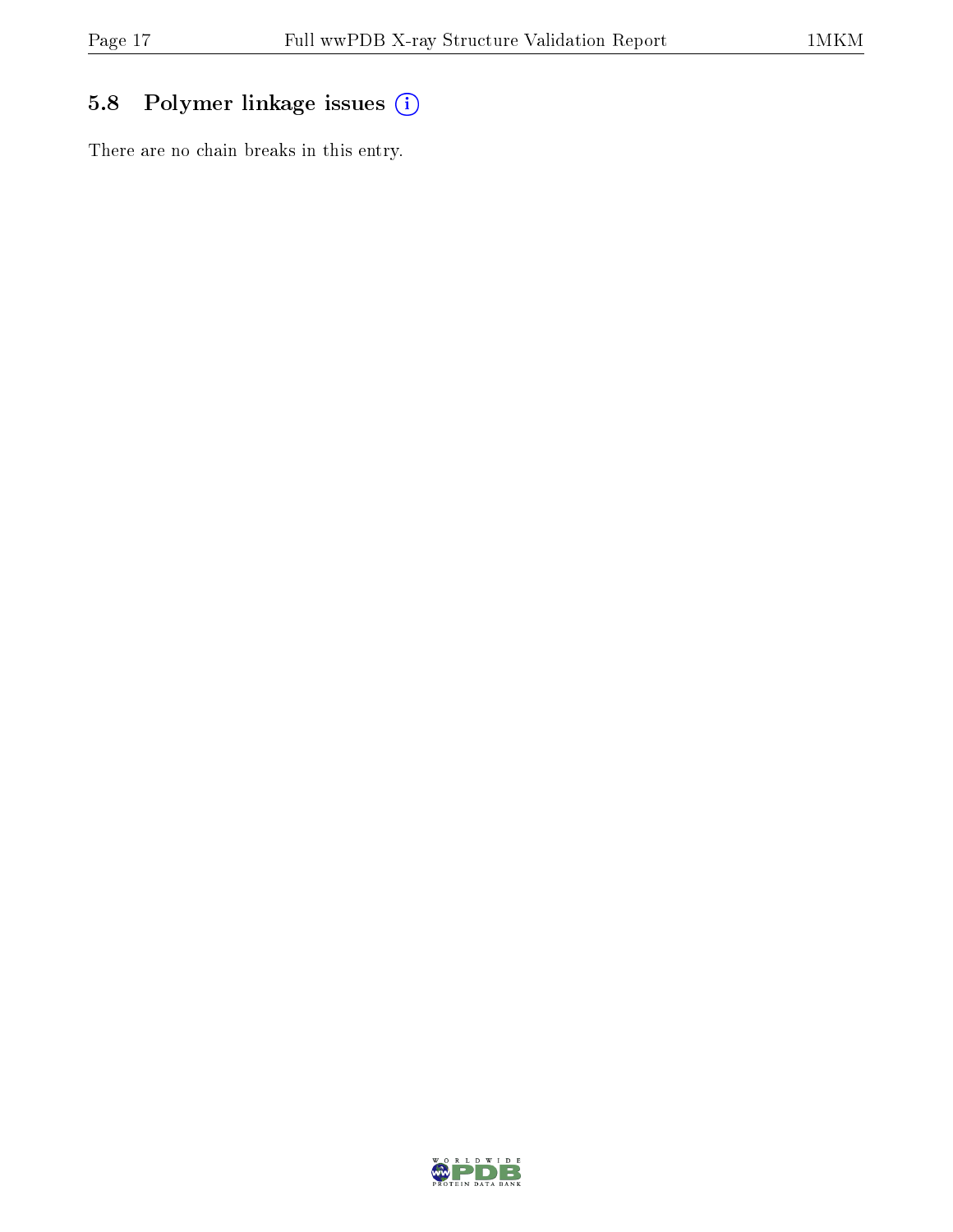### 5.8 Polymer linkage issues (i)

There are no chain breaks in this entry.

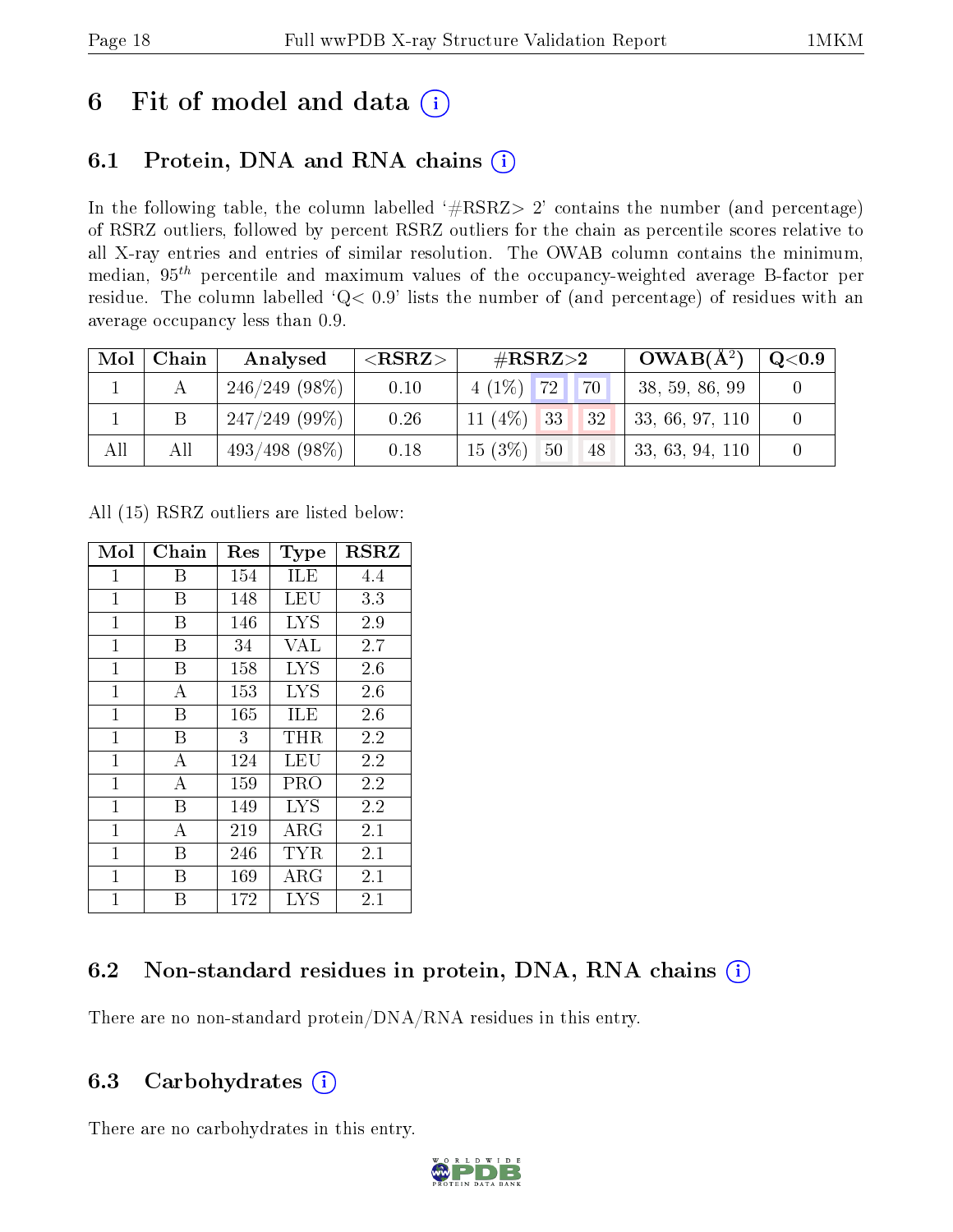### 6 Fit of model and data  $(i)$

### 6.1 Protein, DNA and RNA chains  $(i)$

In the following table, the column labelled  $#RSRZ> 2'$  contains the number (and percentage) of RSRZ outliers, followed by percent RSRZ outliers for the chain as percentile scores relative to all X-ray entries and entries of similar resolution. The OWAB column contains the minimum, median,  $95<sup>th</sup>$  percentile and maximum values of the occupancy-weighted average B-factor per residue. The column labelled ' $Q< 0.9$ ' lists the number of (and percentage) of residues with an average occupancy less than 0.9.

| Mol | Chain | Analysed         | ${ <\hspace{-1.5pt}{\mathrm{RSRZ}} \hspace{-1.5pt}>}$ | $\#\text{RSRZ}{>}2$ |          | $OWAB(A^2)$     | $\rm Q\textcolor{black}{<}0.9$ |
|-----|-------|------------------|-------------------------------------------------------|---------------------|----------|-----------------|--------------------------------|
|     |       | $246/249(98\%)$  | 0.10                                                  | $4(1\%)$ 72         | 70       | 38, 59, 86, 99  |                                |
|     |       | $247/249(99\%)$  | 0.26                                                  | $11(4\%)$ 33        | 32       | 33, 66, 97, 110 |                                |
| All | All   | $493/498$ (98\%) | 0.18                                                  | $15(3\%)$           | 50<br>48 | 33, 63, 94, 110 |                                |

All (15) RSRZ outliers are listed below:

| Mol            | ${\bf Chain}$  | Res | Type       | <b>RSRZ</b> |
|----------------|----------------|-----|------------|-------------|
| 1              | В              | 154 | <b>ILE</b> | 4.4         |
| $\mathbf{1}$   | В              | 148 | LEU        | 3.3         |
| $\mathbf{1}$   | Β              | 146 | <b>LYS</b> | 2.9         |
| $\mathbf{1}$   | В              | 34  | <b>VAL</b> | 2.7         |
| $\mathbf{1}$   | В              | 158 | <b>LYS</b> | 2.6         |
| $\mathbf 1$    | А              | 153 | <b>LYS</b> | 2.6         |
| $\overline{1}$ | В              | 165 | ILE        | 2.6         |
| $\overline{1}$ | Β              | 3   | $\rm THR$  | 2.2         |
| $\mathbf 1$    | А              | 124 | LEU        | 2.2         |
| $\overline{1}$ | A              | 159 | PRO        | 2.2         |
| $\mathbf{1}$   | Β              | 149 | <b>LYS</b> | 2.2         |
| $\mathbf 1$    | $\overline{A}$ | 219 | $\rm{ARG}$ | 2.1         |
| $\mathbf{1}$   | В              | 246 | TYR        | 2.1         |
| $\mathbf 1$    | В              | 169 | $\rm{ARG}$ | 2.1         |
| 1              | В              | 172 | <b>LYS</b> | 2.1         |

### 6.2 Non-standard residues in protein, DNA, RNA chains (i)

There are no non-standard protein/DNA/RNA residues in this entry.

#### 6.3 Carbohydrates  $(i)$

There are no carbohydrates in this entry.